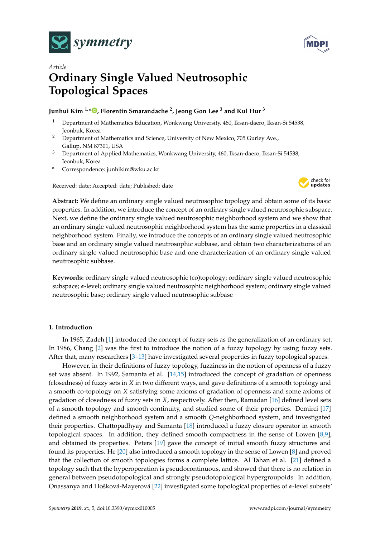



# *Article* **Ordinary Single Valued Neutrosophic Topological Spaces**

# **Junhui Kim 1,[\\*](https://orcid.org/0000-0002-6515-5658) , Florentin Smarandache <sup>2</sup> , Jeong Gon Lee <sup>3</sup> and Kul Hur <sup>3</sup>**

- <sup>1</sup> Department of Mathematics Education, Wonkwang University, 460, Iksan-daero, Iksan-Si 54538, Jeonbuk, Korea
- <sup>2</sup> Department of Mathematics and Science, University of New Mexico, 705 Gurley Ave., Gallup, NM 87301, USA
- <sup>3</sup> Department of Applied Mathematics, Wonkwang University, 460, Iksan-daero, Iksan-Si 54538, Jeonbuk, Korea
- **\*** Correspondence: junhikim@wku.ac.kr

Received: date; Accepted: date; Published: date



**Abstract:** We define an ordinary single valued neutrosophic topology and obtain some of its basic properties. In addition, we introduce the concept of an ordinary single valued neutrosophic subspace. Next, we define the ordinary single valued neutrosophic neighborhood system and we show that an ordinary single valued neutrosophic neighborhood system has the same properties in a classical neighborhood system. Finally, we introduce the concepts of an ordinary single valued neutrosophic base and an ordinary single valued neutrosophic subbase, and obtain two characterizations of an ordinary single valued neutrosophic base and one characterization of an ordinary single valued neutrosophic subbase.

**Keywords:** ordinary single valued neutrosophic (co)topology; ordinary single valued neutrosophic subspace; *α*-level; ordinary single valued neutrosophic neighborhood system; ordinary single valued neutrosophic base; ordinary single valued neutrosophic subbase

## **1. Introduction**

In 1965, Zadeh [\[1\]](#page-23-0) introduced the concept of fuzzy sets as the generalization of an ordinary set. In 1986, Chang [\[2\]](#page-23-1) was the first to introduce the notion of a fuzzy topology by using fuzzy sets. After that, many researchers [\[3–](#page-23-2)[13\]](#page-24-0) have investigated several properties in fuzzy topological spaces.

However, in their definitions of fuzzy topology, fuzziness in the notion of openness of a fuzzy set was absent. In 1992, Samanta et al. [\[14,](#page-24-1)[15\]](#page-24-2) introduced the concept of gradation of openness (closedness) of fuzzy sets in *X* in two different ways, and gave definitions of a smooth topology and a smooth co-topology on *X* satisfying some axioms of gradation of openness and some axioms of gradation of closedness of fuzzy sets in *X*, respectively. After then, Ramadan [\[16\]](#page-24-3) defined level sets of a smooth topology and smooth continuity, and studied some of their properties. Demirci [\[17\]](#page-24-4) defined a smooth neighborhood system and a smooth *Q*-neighborhood system, and investigated their properties. Chattopadhyay and Samanta [\[18\]](#page-24-5) introduced a fuzzy closure operator in smooth topological spaces. In addition, they defined smooth compactness in the sense of Lowen [\[8,](#page-23-3)[9\]](#page-23-4), and obtained its properties. Peters [\[19\]](#page-24-6) gave the concept of initial smooth fuzzy structures and found its properties. He [\[20\]](#page-24-7) also introduced a smooth topology in the sense of Lowen [\[8\]](#page-23-3) and proved that the collection of smooth topologies forms a complete lattice. Al Tahan et al. [\[21\]](#page-24-8) defined a topology such that the hyperoperation is pseudocontinuous, and showed that there is no relation in general between pseudotopological and strongly pseudotopological hypergroupoids. In addition, Onassanya and Hošková-Mayerová [\[22\]](#page-24-9) investigated some topological properties of *α*-level subsets'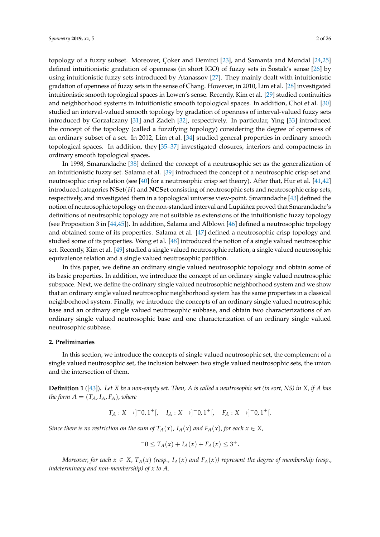topology of a fuzzy subset. Moreover, Çoker and Demirci [\[23\]](#page-24-10), and Samanta and Mondal [\[24](#page-24-11)[,25\]](#page-24-12) defined intuitionistic gradation of openness (in short IGO) of fuzzy sets in Sostak's sense  $[26]$  by using intuitionistic fuzzy sets introduced by Atanassov [\[27\]](#page-24-14). They mainly dealt with intuitionistic gradation of openness of fuzzy sets in the sense of Chang. However, in 2010, Lim et al. [\[28\]](#page-24-15) investigated intuitionistic smooth topological spaces in Lowen's sense. Recently, Kim et al. [\[29\]](#page-24-16) studied continuities and neighborhood systems in intuitionistic smooth topological spaces. In addition, Choi et al. [\[30\]](#page-24-17) studied an interval-valued smooth topology by gradation of openness of interval-valued fuzzy sets introduced by Gorzalczany [\[31\]](#page-24-18) and Zadeh [\[32\]](#page-24-19), respectively. In particular, Ying [\[33\]](#page-24-20) introduced the concept of the topology (called a fuzzifying topology) considering the degree of openness of an ordinary subset of a set. In 2012, Lim et al. [\[34\]](#page-24-21) studied general properties in ordinary smooth topological spaces. In addition, they [\[35](#page-24-22)[–37\]](#page-24-23) investigated closures, interiors and compactness in ordinary smooth topological spaces.

In 1998, Smarandache [\[38\]](#page-24-24) defined the concept of a neutrusophic set as the generalization of an intuitionistic fuzzy set. Salama et al. [\[39\]](#page-24-25) introduced the concept of a neutrosophic crisp set and neutrosophic crisp relation (see [\[40\]](#page-24-26) for a neutrosophic crisp set theory). After that, Hur et al. [\[41](#page-24-27)[,42\]](#page-24-28) introduced categories **NSet**(*H*) and **NCSet** consisting of neutrosophic sets and neutrosophic crisp sets, respectively, and investigated them in a topological universe view-point. Smarandache [\[43\]](#page-25-0) defined the notion of neutrosophic topology on the non-standard interval and Lupiánez proved that Smarandache's definitions of neutrsophic topology are not suitable as extensions of the intuitionistic fuzzy topology (see Proposition 3 in [\[44](#page-25-1)[,45\]](#page-25-2)). In addition, Salama and Alblowi [\[46\]](#page-25-3) defined a neutrosophic topology and obtained some of its properties. Salama et al. [\[47\]](#page-25-4) defined a neutrosophic crisp topology and studied some of its properties. Wang et al. [\[48\]](#page-25-5) introduced the notion of a single valued neutrosophic set. Recently, Kim et al. [\[49\]](#page-25-6) studied a single valued neutrosophic relation, a single valued neutrosophic equivalence relation and a single valued neutrosophic partition.

In this paper, we define an ordinary single valued neutrosophic topology and obtain some of its basic properties. In addition, we introduce the concept of an ordinary single valued neutrosophic subspace. Next, we define the ordinary single valued neutrosophic neighborhood system and we show that an ordinary single valued neutrosophic neighborhood system has the same properties in a classical neighborhood system. Finally, we introduce the concepts of an ordinary single valued neutrosophic base and an ordinary single valued neutrosophic subbase, and obtain two characterizations of an ordinary single valued neutrosophic base and one characterization of an ordinary single valued neutrosophic subbase.

#### **2. Preliminaries**

In this section, we introduce the concepts of single valued neutrosophic set, the complement of a single valued neutrosophic set, the inclusion between two single valued neutrosophic sets, the union and the intersection of them.

**Definition 1** ([\[43\]](#page-25-0))**.** *Let X be a non-empty set. Then, A is called a neutrosophic set (in sort, NS) in X, if A has the form*  $A = (T_A, I_A, F_A)$ , *where* 

$$
T_A: X \to ]-0,1^+[, \quad I_A: X \to ]-0,1^+[, \quad F_A: X \to ]-0,1^+[.
$$

*Since there is no restriction on the sum of*  $T_A(x)$ *,*  $I_A(x)$  *and*  $F_A(x)$ *, for each*  $x \in X$ *,* 

$$
-0 \le T_A(x) + I_A(x) + F_A(x) \le 3^+.
$$

*Moreover, for each*  $x \in X$ ,  $T_A(x)$  (resp.,  $I_A(x)$  and  $F_A(x)$ ) represent the degree of membership (resp., *indeterminacy and non-membership) of x to A.*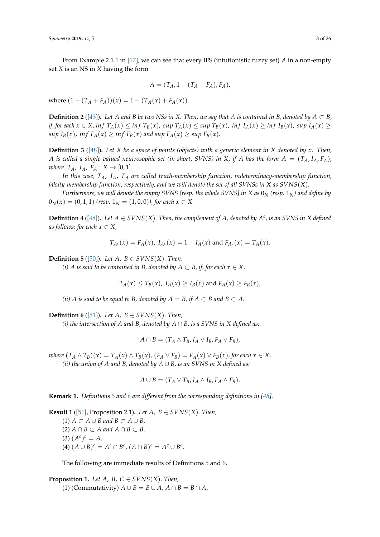From Example 2.1.1 in [\[17\]](#page-24-4), we can see that every IFS (intutionistic fuzzy set) *A* in a non-empty set *X* is an NS in *X* having the form

$$
A=(T_A,1-(T_A+F_A),F_A),
$$

where  $(1 - (T_A + F_A))(x) = 1 - (T_A(x) + F_A(x)).$ 

**Definition 2** ([\[43\]](#page-25-0)). Let *A* and *B* be two NSs in *X*. Then, we say that *A* is contained in *B*, denoted by  $A \subset B$ , if, for each  $x \in X$ , inf  $T_A(x) \le \inf T_B(x)$ ,  $\sup T_A(x) \le \sup T_B(x)$ ,  $\inf T_B(x) \ge \inf T_B(x)$ ,  $\sup I_A(x) \ge \sup T_A(x)$ *sup*  $I_B(x)$ , *inf*  $F_A(x) \ge \inf F_B(x)$  *and sup*  $F_A(x) \ge \sup F_B(x)$ *.* 

**Definition 3** ([\[48\]](#page-25-5))**.** *Let X be a space of points (objects) with a generic element in X denoted by x. Then, A* is called a single valued neutrosophic set (in short, SVNS) in X, if A has the form  $A = (T_A, I_A, F_A)$ , *where*  $T_A$ ,  $I_A$ ,  $F_A: X \to [0,1]$ .

*In this case, TA*, *IA*, *F<sup>A</sup> are called truth-membership function, indeterminacy-membership function, falsity-membership function, respectively, and we will denote the set of all SVNSs in X as SVNS*(*X*)*.*

*Furthermore, we will denote the empty SVNS (resp. the whole SVNS] in X as*  $0<sub>N</sub>$  *(resp.*  $1<sub>N</sub>$ *) and define by*  $0_N(x) = (0, 1, 1)$  (resp.  $1_N = (1, 0, 0)$ ), for each  $x \in X$ .

**Definition 4** ([\[48\]](#page-25-5)). Let  $A \in SVNS(X)$ . Then, the complement of  $A$ , denoted by  $A^c$ , is an SVNS in  $X$  defined *as follows: for each*  $x \in X$ ,

$$
T_{A^c}(x) = F_A(x), I_{A^c}(x) = 1 - I_A(x)
$$
 and  $F_{A^c}(x) = T_A(x)$ .

<span id="page-2-0"></span>**Definition 5** ([\[50\]](#page-25-7)). *Let A*,  $B \in SVNS(X)$ *. Then,* 

*(i) A* is said to be contained in B, denoted by  $A \subset B$ , if, for each  $x \in X$ ,

 $T_A(x) \leq T_B(x)$ ,  $I_A(x) \geq I_B(x)$  and  $F_A(x) \geq F_B(x)$ ,

*(ii) A is said to be equal to B, denoted by*  $A = B$ *, if*  $A \subset B$  *and*  $B \subset A$ *.* 

<span id="page-2-1"></span>**Definition 6** ([\[51\]](#page-25-8)). *Let A*,  $B \in SVNS(X)$ *. Then,* 

*(i) the intersection of A and B, denoted by A* ∩ *B, is a SVNS in X defined as:*

$$
A \cap B = (T_A \wedge T_B, I_A \vee I_B, F_A \vee F_B),
$$

where  $(T_A \wedge T_B)(x) = T_A(x) \wedge T_B(x)$ ,  $(F_A \vee F_B) = F_A(x) \vee F_B(x)$ , for each  $x \in X$ , *(ii) the union of A and B, denoted by A* ∪ *B, is an SVNS in X defined as:*

$$
A \cup B = (T_A \vee T_B, I_A \wedge I_B, F_A \wedge F_B).
$$

**Remark 1.** *Definitions [5](#page-2-0) and [6](#page-2-1) are different from the corresponding definitions in [\[48\]](#page-25-5).*

**Result 1** ([\[51\]](#page-25-8), Proposition 2.1). *Let A*,  $B \in SVNS(X)$ *. Then,* (1)  $A \subset A \cup B$  and  $B \subset A \cup B$ , (2)  $A ∩ B ⊂ A$  and  $A ∩ B ⊂ B$ ,  $(A^c)^c = A$  $(A) (A \cup B)^c = A^c \cap B^c$ ,  $(A \cap B)^c = A^c \cup B^c$ .

The following are immediate results of Definitions [5](#page-2-0) and [6.](#page-2-1)

**Proposition 1.** *Let A, B, C*  $\in$  *SVNS*(*X*)*. Then,* (1) (Commutativity)  $A \cup B = B \cup A$ ,  $A \cap B = B \cap A$ ,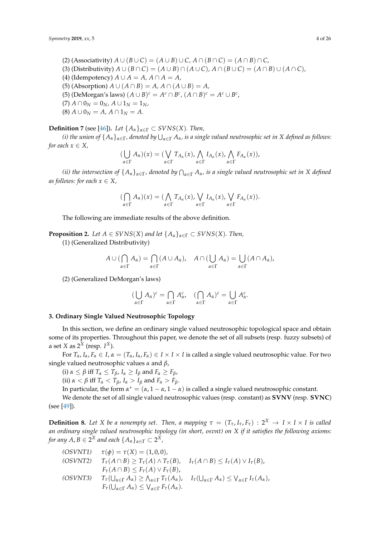$(2)$  (Associativity)  $A \cup (B \cup C) = (A \cup B) \cup C$ ,  $A \cap (B \cap C) = (A \cap B) \cap C$ , (3) (Distributivity)  $A \cup (B \cap C) = (A \cup B) \cap (A \cup C), A \cap (B \cup C) = (A \cap B) \cup (A \cap C)$ (4) (Idempotency)  $A \cup A = A$ ,  $A \cap A = A$ ,

(5) (Absorption)  $A \cup (A \cap B) = A$ ,  $A \cap (A \cup B) = A$ ,

- (5) (DeMorgan's laws)  $(A \cup B)^c = A^c \cap B^c$ ,  $(A \cap B)^c = A^c \cup B^c$ ,
- $(7)$   $A \cap 0_N = 0_N$ ,  $A \cup 1_N = 1_N$ ,
- $(8)$   $A \cup 0_N = A$ ,  $A \cap 1_N = A$ .

**Definition 7** (see [\[46\]](#page-25-3)). *Let*  $\{A_{\alpha}\}_{{\alpha \in \Gamma}} \subset SVNS(X)$ *. Then,* 

*(i) the union of*  $\{A_\alpha\}_{\alpha \in \Gamma}$ *, denoted by*  $\bigcup_{\alpha \in \Gamma} A_\alpha$ *, is a single valued neutrosophic set in*  $X$  *defined as follows: for each*  $x \in X$ *,* 

$$
(\bigcup_{\alpha \in \Gamma} A_{\alpha})(x) = (\bigvee_{\alpha \in \Gamma} T_{A_{\alpha}}(x), \bigwedge_{\alpha \in \Gamma} I_{A_{\alpha}}(x), \bigwedge_{\alpha \in \Gamma} F_{A_{\alpha}}(x)),
$$

*(ii) the intersection of*  $\{A_\alpha\}_{\alpha \in \Gamma}$ *, denoted by*  $\bigcap_{\alpha \in \Gamma} A_\alpha$ *, is a single valued neutrosophic set in*  $X$  *defined as follows: for each*  $x \in X$ ,

$$
(\bigcap_{\alpha\in\Gamma}A_{\alpha})(x)=(\bigwedge_{\alpha\in\Gamma}T_{A_{\alpha}}(x),\bigvee_{\alpha\in\Gamma}I_{A_{\alpha}}(x),\bigvee_{\alpha\in\Gamma}F_{A_{\alpha}}(x)).
$$

The following are immediate results of the above definition.

**Proposition 2.** *Let*  $A \in SVNS(X)$  *and let*  $\{A_{\alpha}\}_{{\alpha} \in \Gamma} \subset SVNS(X)$ *. Then,* (1) (Generalized Distributivity)

$$
A\cup(\bigcap_{\alpha\in\Gamma}A_{\alpha})=\bigcap_{\alpha\in\Gamma}(A\cup A_{\alpha}),\quad A\cap(\bigcup_{\alpha\in\Gamma}A_{\alpha})=\bigcup_{\alpha\in\Gamma}(A\cap A_{\alpha}),
$$

(2) (Generalized DeMorgan's laws)

$$
(\bigcup_{\alpha \in \Gamma} A_{\alpha})^{c} = \bigcap_{\alpha \in \Gamma} A_{\alpha}^{c}, \quad (\bigcap_{\alpha \in \Gamma} A_{\alpha})^{c} = \bigcup_{\alpha \in \Gamma} A_{\alpha}^{c}.
$$

### **3. Ordinary Single Valued Neutrosophic Topology**

In this section, we define an ordinary single valued neutrosophic topological space and obtain some of its properties. Throughout this paper, we denote the set of all subsets (resp. fuzzy subsets) of a set *X* as  $2^X$  (resp.  $I^X$ ).

For  $T_{\alpha}$ ,  $I_{\alpha}$ ,  $F_{\alpha} \in I$ ,  $\alpha = (T_{\alpha}$ ,  $I_{\alpha}$ ,  $F_{\alpha}) \in I \times I \times I$  is called a single valued neutrosophic value. For two single valued neutrosophic values *α* and *β*,

(i)  $\alpha \leq \beta$  iff  $T_{\alpha} \leq T_{\beta}$ ,  $I_{\alpha} \geq I_{\beta}$  and  $F_{\alpha} \geq F_{\beta}$ ,

(ii)  $\alpha < \beta$  iff  $T_\alpha < T_\beta$ ,  $I_\alpha > I_\beta$  and  $F_\alpha > F_\beta$ .

In particular, the form  $\alpha^* = (\alpha, 1 - \alpha, 1 - \alpha)$  is called a single valued neutrosophic constant.

We denote the set of all single valued neutrosophic values (resp. constant) as **SVNV** (resp. **SVNC**) (see [\[49\]](#page-25-6)).

<span id="page-3-0"></span>**Definition 8.** Let X be a nonempty set. Then, a mapping  $\tau = (T_\tau, I_\tau, F_\tau) : 2^X \to I \times I$  is called *an ordinary single valued neutrosophic topology (in short, osvnt) on X if it satisfies the following axioms:*  $f$ *or any A, B*  $\in$  2<sup>X</sup> *and each*  $\{A_{\alpha}\}_{\alpha \in \Gamma} \subset 2^X$ *,* 

\n- (OSVNT1) 
$$
\tau(\phi) = \tau(X) = (1, 0, 0),
$$
\n- (OSVNT2)  $T_{\tau}(A \cap B) \geq T_{\tau}(A) \land T_{\tau}(B), \quad I_{\tau}(A \cap B) \leq I_{\tau}(A) \lor I_{\tau}(B),$
\n- $F_{\tau}(A \cap B) \leq F_{\tau}(A) \lor F_{\tau}(B),$
\n- (OSVNT3)  $T_{\tau}(\bigcup_{\alpha \in \Gamma} A_{\alpha}) \geq \bigwedge_{\alpha \in \Gamma} T_{\tau}(A_{\alpha}), \quad I_{\tau}(\bigcup_{\alpha \in \Gamma} A_{\alpha}) \leq \bigvee_{\alpha \in \Gamma} I_{\tau}(A_{\alpha}).$
\n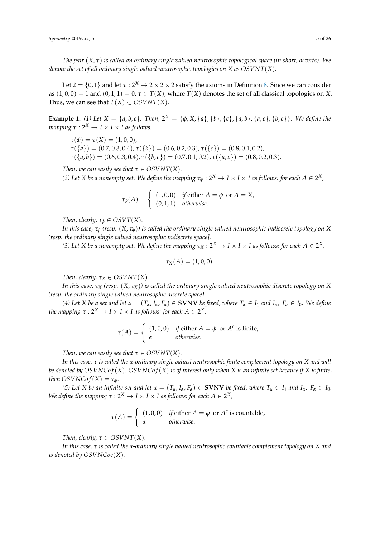*The pair* (*X*, *τ*) *is called an ordinary single valued neutrosophic topological space (in short, osvnts). We denote the set of all ordinary single valued neutrosophic topologies on X as OSVNT*(*X*)*.*

Let 2 =  $\{0,1\}$  and let  $\tau:2^X\to 2\times 2\times 2$  satisfy the axioms in Definition [8.](#page-3-0) Since we can consider as  $(1, 0, 0) = 1$  and  $(0, 1, 1) = 0$ ,  $\tau \in T(X)$ , where  $T(X)$  denotes the set of all classical topologies on *X*. Thus, we can see that  $T(X) \subset OSVNT(X)$ .

<span id="page-4-0"></span>**Example 1.** (1) Let  $X = \{a, b, c\}$ . Then,  $2^X = \{\phi, X, \{a\}, \{b\}, \{c\}, \{a, b\}, \{a, c\}, \{b, c\}\}$ . We define the *mapping*  $\tau : 2^X \rightarrow I \times I \times I$  *as follows:* 

 $\tau(\phi) = \tau(X) = (1, 0, 0),$ *τ*({*a*}) = (0.7, 0.3, 0.4), *τ*({*b*}) = (0.6, 0.2, 0.3), *τ*({*c*}) = (0.8, 0.1, 0.2)*,*  $\tau({a,b}) = (0.6, 0.3, 0.4), \tau({b,c}) = (0.7, 0.1, 0.2), \tau({a,c}) = (0.8, 0.2, 0.3).$ 

*Then, we can easily see that*  $\tau \in OSVNT(X)$ *. (*2) Let X be a nonempty set. We define the mapping  $\tau_{\phi} : 2^X \to I \times I \times I$  as follows: for each  $A \in 2^X$ ,

$$
\tau_{\phi}(A) = \begin{cases} (1,0,0) & \text{if either } A = \phi \text{ or } A = X, \\ (0,1,1) & \text{otherwise.} \end{cases}
$$

*Then, clearly,*  $\tau_{\phi} \in OSVT(X)$ *.* 

*In this case,*  $\tau_{\phi}$  (resp.  $(X, \tau_{\phi})$ ) is called the ordinary single valued neutrosophic indiscrete topology on X *(resp. the ordinary single valued neutrosophic indiscrete space].*

*(3) Let X be a nonempty set. We define the mapping*  $\tau_X: 2^X \to I \times I$  *as follows: for each*  $A \in 2^X$ *,* 

$$
\tau_X(A)=(1,0,0).
$$

*Then, clearly,*  $\tau_X \in OSVNT(X)$ *.* 

*In this case, τ<sup>X</sup> (resp.* (*X*, *τX*)*) is called the ordinary single valued neutrosophic discrete topology on X (resp. the ordinary single valued neutrosophic discrete space].*

(4) Let X be a set and let  $\alpha = (T_{\alpha}, I_{\alpha}, F_{\alpha}) \in$  **SVNV** be fixed, where  $T_{\alpha} \in I_1$  and  $I_{\alpha}$ ,  $F_{\alpha} \in I_0$ . We define *the mapping*  $\tau: 2^X \to I \times I \times I$  *as follows: for each*  $A \in 2^X$  *,* 

$$
\tau(A) = \begin{cases} (1,0,0) & \text{if either } A = \phi \text{ or } A^c \text{ is finite,} \\ \alpha & \text{otherwise.} \end{cases}
$$

*Then, we can easily see that*  $\tau \in OSVNT(X)$ *.* 

*In this case, τ is called the α-ordinary single valued neutrosophic finite complement topology on X and will be denoted by*  $OSVNCof(X)$ *.*  $OSVNCof(X)$  *is of interest only when X is an infinite set because if X is finite, then*  $OSVNCof(X) = \tau_{\phi}$ *.* 

(5) Let X be an infinite set and let  $\alpha = (T_{\alpha}, I_{\alpha}, F_{\alpha}) \in$  **SVNV** be fixed, where  $T_{\alpha} \in I_1$  and  $I_{\alpha}$ ,  $F_{\alpha} \in I_0$ . *We define the mapping*  $\tau : 2^X \to I \times I \times I$  *as follows: for each*  $A \in 2^X$ *,* 

$$
\tau(A) = \begin{cases} (1,0,0) & \text{if either } A = \phi \text{ or } A^c \text{ is countable,} \\ \alpha & \text{otherwise.} \end{cases}
$$

*Then, clearly,*  $\tau \in OSVNT(X)$ *.* 

*In this case, τ is called the α-ordinary single valued neutrosophic countable complement topology on X and is denoted by OSVNCoc*(*X*)*.*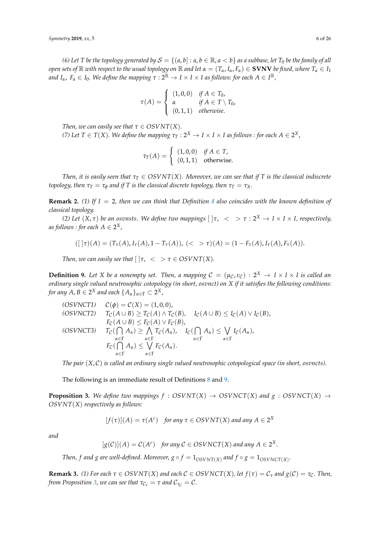*(6)* Let T be the topology generated by  $S = \{(a, b] : a, b \in \mathbb{R}, a < b\}$  as a subbase, let  $T_0$  be the family of all *open sets of*  $\mathbb R$  *with respect to the usual topology on*  $\mathbb R$  *and let*  $\alpha = (T_\alpha, I_\alpha, F_\alpha) \in \mathbf{SVNV}$  *be fixed, where*  $T_\alpha \in I_1$  $a$ nd I<sub>α</sub>,  $F_\alpha \in I_0$ . We define the mapping  $\tau : 2^\mathbb{R} \to I \times I \times I$  as follows: for each  $A \in I^\mathbb{R}$ ,

$$
\tau(A) = \begin{cases}\n(1,0,0) & \text{if } A \in T_0, \\
\alpha & \text{if } A \in T \setminus T_0, \\
(0,1,1) & \text{otherwise.} \n\end{cases}
$$

*Then, we can easily see that*  $\tau \in OSVNT(X)$ *.* 

*(7)* Let  $T \in T(X)$ . We define the mapping  $\tau_T : 2^X \to I \times I \times I$  as follows : for each  $A \in 2^X$ ,

$$
\tau_T(A) = \begin{cases} (1,0,0) & \text{if } A \in T, \\ (0,1,1) & \text{otherwise.} \end{cases}
$$

*Then, it is easily seen that*  $\tau_T \in OSVNT(X)$ *. Moreover, we can see that if T is the classical indiscrete topology, then*  $\tau_T = \tau_\phi$  *and if T is the classical discrete topology, then*  $\tau_T = \tau_X$ *.* 

**Remark 2.** *(1) If I* = 2*, then we can think that Definition [8](#page-3-0) also coincides with the known definition of classical topology.*

*(2) Let* (*X*, *τ*) *be an osvnsts. We define two mappings* [ ]*τ*, < > *τ* : 2 *<sup>X</sup>* → *I* × *I* × *I, respectively,* as follows : for each  $A \in 2^X$  ,

$$
([ \, ]\tau)(A) = (T_{\tau}(A), I_{\tau}(A), 1 - T_{\tau}(A)), \, (<\gt \tau)(A) = (1 - F_{\tau}(A), I_{\tau}(A), F_{\tau}(A)).
$$

*Then, we can easily see that*  $|\nvert \tau$ ,  $\lt$   $> \tau \in OSVNT(X)$ *.* 

<span id="page-5-0"></span>**Definition 9.** Let X be a nonempty set. Then, a mapping  $C = (\mu_C, \nu_C) : 2^X \to I \times I \times I$  is called an *ordinary single valued neutrosophic cotopology (in short, osvnct) on X if it satisfies the following conditions: for any A, B*  $\in$  2<sup>X</sup> *and each*  $\{A_{\alpha}\}_{\alpha \in \Gamma} \subset 2^X$ *,* 

\n- (OSVNCT1) 
$$
\mathcal{C}(\phi) = \mathcal{C}(X) = (1,0,0),
$$
\n- (OSVNCT2)  $T_{\mathcal{C}}(A \cup B) \geq T_{\mathcal{C}}(A) \land T_{\mathcal{C}}(B),$   $I_{\mathcal{C}}(A \cup B) \leq I_{\mathcal{C}}(A) \lor I_{\mathcal{C}}(B),$   $F_{\mathcal{C}}(A \cup B) \leq F_{\mathcal{C}}(A) \lor F_{\mathcal{C}}(B),$
\n- (OSVNCT3)  $T_{\mathcal{C}}(\bigcap_{\alpha \in \Gamma} A_{\alpha}) \geq \bigwedge_{\alpha \in \Gamma} T_{\mathcal{C}}(A_{\alpha}),$   $I_{\mathcal{C}}(\bigcap_{\alpha \in \Gamma} A_{\alpha}) \leq \bigvee_{\alpha \in \Gamma} I_{\mathcal{C}}(A_{\alpha}),$   $F_{\mathcal{C}}(\bigcap_{\alpha \in \Gamma} A_{\alpha}) \leq \bigvee_{\alpha \in \Gamma} F_{\mathcal{C}}(A_{\alpha}).$
\n

*The pair* (*X*, C) *is called an ordinary single valued neutrosophic cotopological space (in short, osvncts).*

The following is an immediate result of Definitions [8](#page-3-0) and [9.](#page-5-0)

<span id="page-5-1"></span>**Proposition 3.** We define two mappings  $f : OSVNT(X) \rightarrow OSVNCT(X)$  and  $g : OSVNCT(X) \rightarrow$ *OSVNT*(*X*) *respectively as follows:*

$$
[f(\tau)](A) = \tau(A^c) \quad \text{for any } \tau \in OSVNT(X) \text{ and any } A \in 2^X
$$

*and*

$$
[g(C)](A) = C(A^c)
$$
 for any  $C \in OSVNCT(X)$  and any  $A \in 2^X$ 

.

*Then, f and g are well-defined. Moreover,*  $g \circ f = 1_{OSVNT(X)}$  *and*  $f \circ g = 1_{OSVNCT(X)}$ *.* 

**Remark 3.** (1) For each  $\tau \in OSVNT(X)$  and each  $C \in OSVNCT(X)$ , let  $f(\tau) = C_{\tau}$  and  $g(C) = \tau_{C}$ . Then, *from Proposition* [3,](#page-5-1) we can see that  $\tau_{\mathcal{C}_{\tau}} = \tau$  and  $\mathcal{C}_{\tau_{\mathcal{C}}} = \mathcal{C}$ .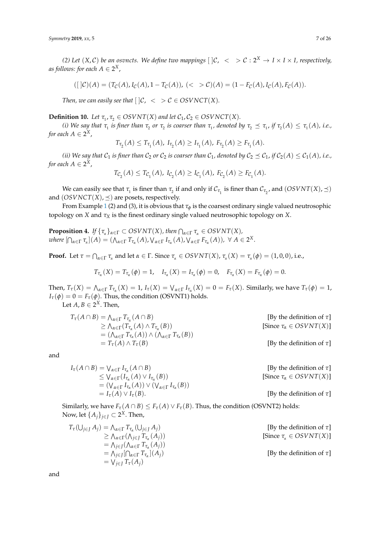*(2)* Let  $(X, C)$  be an osvncts. We define two mappings  $[\,]C$ ,  $\langle \, \rangle \geq C : 2^X \to I \times I \times I$ , respectively, as follows: for each  $A \in 2^X$  ,

$$
([C](A) = (T_{\mathcal{C}}(A), I_{\mathcal{C}}(A), 1 - T_{\mathcal{C}}(A)), \, (<\!\!\!\!\!\!> {\mathcal{C}})(A) = (1 - F_{\mathcal{C}}(A), I_{\mathcal{C}}(A), F_{\mathcal{C}}(A)).
$$

*Then, we can easily see that*  $[\,]\mathcal{C}, \, \langle \, \rangle \geq \mathcal{C} \in \text{OSVNOT}(X).$ 

<span id="page-6-0"></span>**Definition 10.** *Let*  $\tau_1, \tau_2 \in OSVNT(X)$  *and let*  $C_1, C_2 \in OSVNCT(X)$ *.* 

(i) We say that  $\tau_1$  is finer than  $\tau_2$  or  $\tau_2$  is coarser than  $\tau_1$ , denoted by  $\tau_2 \preceq \tau_1$ , if  $\tau_2(A) \leq \tau_1(A)$ , i.e., for each  $A \in 2^X$ ,

$$
T_{\tau_2}(A) \leq T_{\tau_1}(A), \ I_{\tau_2}(A) \geq I_{\tau_1}(A), \ F_{\tau_2}(A) \geq F_{\tau_1}(A).
$$

*(ii)* We say that  $C_1$  *is finer than*  $C_2$  *or*  $C_2$  *is coarser than*  $C_1$ *, denoted by*  $C_2 \preceq C_1$ *, if*  $C_2(A) \leq C_1(A)$ *, i.e.,* for each  $A \in 2^X$ ,

$$
T_{\mathcal{C}_2}(A) \le T_{\mathcal{C}_1}(A), \ I_{\mathcal{C}_2}(A) \ge I_{\mathcal{C}_1}(A), \ F_{\mathcal{C}_2}(A) \ge F_{\mathcal{C}_1}(A).
$$

We can easily see that  $\tau_1$  is finer than  $\tau_2$  if and only if  $\mathcal{C}_{\tau_1}$  is finer than  $\mathcal{C}_{\tau_2}$ , and  $(OSVNT(X), \preceq)$ and  $(OSVNCT(X), \preceq)$  are posets, respectively.

From Example [1](#page-4-0) (2) and (3), it is obvious that  $\tau_{\phi}$  is the coarsest ordinary single valued neutrosophic topology on *X* and *τ<sup>X</sup>* is the finest ordinary single valued neutrosophic topology on *X*.

<span id="page-6-1"></span>**Proposition 4.** *If*  $\{\tau_\alpha\}_{\alpha \in \Gamma} \subset \text{OSVNT}(X)$ , then  $\bigcap_{\alpha \in \Gamma} \tau_\alpha \in \text{OSVNT}(X)$ , where  $[\bigcap_{\alpha\in\Gamma}\tau_{\alpha}](A) = (\bigwedge_{\alpha\in\Gamma}T_{\tau_{\alpha}}(A),\bigvee_{\alpha\in\Gamma}I_{\tau_{\alpha}}(A),\bigvee_{\alpha\in\Gamma}F_{\tau_{\alpha}}(A)), \ \forall A\in 2^{X}.$ 

**Proof.** Let  $\tau = \bigcap_{\alpha \in \Gamma} \tau_{\alpha}$  and let  $\alpha \in \Gamma$ . Since  $\tau_{\alpha} \in OSVNT(X)$ ,  $\tau_{\alpha}(X) = \tau_{\alpha}(\phi) = (1, 0, 0)$ , i.e.,

$$
T_{\tau_{\alpha}}(X) = T_{\tau_{\alpha}}(\phi) = 1, \quad I_{\tau_{\alpha}}(X) = I_{\tau_{\alpha}}(\phi) = 0, \quad F_{\tau_{\alpha}}(X) = F_{\tau_{\alpha}}(\phi) = 0.
$$

Then,  $T_{\tau}(X) = \bigwedge_{\alpha \in \Gamma} T_{\tau_{\alpha}}(X) = 1$ ,  $I_{\tau}(X) = \bigvee_{\alpha \in \Gamma} I_{\tau_{\alpha}}(X) = 0 = F_{\tau}(X)$ . Similarly, we have  $T_{\tau}(\phi) = 1$ ,  $I_{\tau}(\phi) = 0 = F_{\tau}(\phi)$ . Thus, the condition (OSVNT1) holds.

Let  $A, B \in 2^X$ . Then,

$$
T_{\tau}(A \cap B) = \Lambda_{\alpha \in \Gamma} T_{\tau_{\alpha}}(A \cap B)
$$
  
\n
$$
\geq \Lambda_{\alpha \in \Gamma} (T_{\tau_{\alpha}}(A) \land T_{\tau_{\alpha}}(B))
$$
  
\n
$$
= (\Lambda_{\alpha \in \Gamma} T_{\tau_{\alpha}}(A)) \land (\Lambda_{\alpha \in \Gamma} T_{\tau_{\alpha}}(B))
$$
  
\n
$$
= T_{\tau}(A) \land T_{\tau}(B)
$$
  
\n[By the definition of  $\tau$ ]  
\n[By the definition of  $\tau$ ]  
\n[By the definition of  $\tau$ ]  
\n[By the definition of  $\tau$ ]  
\n[By the definition of  $\tau$ ]  
\n[By the definition of  $\tau$ ]  
\n[By the definition of  $\tau$ ]  
\n[By the definition of  $\tau$ ]  
\n[By the definition of  $\tau$ ]  
\n[By the definition of  $\tau$ ]  
\n[By the definition of  $\tau$ ]  
\n[By the definition of  $\tau$ ]  
\n[By the definition of  $\tau$ ]  
\n[By the definition of  $\tau$ ]  
\n[By the definition of  $\tau$ ]  
\n[By the definition of  $\tau$ ]  
\n[By the definition of  $\tau$ ]  
\n[By the definition of  $\tau$ ]  
\n[By the definition of  $\tau$ ]  
\n[By the definition of  $\tau$ ]  
\n[By the definition of  $\tau$ ]  
\n[By the definition of  $\tau$ ]  
\n[By the definition of  $\tau$ ]  
\n[By the definition of  $\tau$ ]  
\n[By the definition of  $\tau$ ]  
\n[By the definition of  $\tau$ ]  
\n[By the definition of  $\tau$ ]  
\n[By the definition of  $\tau$ ]  
\n[By the definition of  $\tau$ ]  
\n[By the definition of  $\tau$ ]  
\n[By the definition of  $\tau$ ]  
\n[By the definition of  $\tau$ ]  
\n[By the equation of  $\tau$ ]  
\n[By the equation of  $\tau$ ]  
\n[By the equation of  $\tau$ ]  
\n[By the equation of  $\tau$ ]  
\n[By the equation of  $\tau$ 

and

$$
I_{\tau}(A \cap B) = \bigvee_{\alpha \in \Gamma} I_{\tau_{\alpha}}(A \cap B)
$$
 [By the definition of  $\tau$ ]  
\n
$$
\leq \bigvee_{\alpha \in \Gamma} (I_{\tau_{\alpha}}(A) \vee I_{\tau_{\alpha}}(B))
$$
 [Since  $\tau_{\alpha} \in OSVNT(X)$ ]  
\n
$$
= (\bigvee_{\alpha \in \Gamma} I_{\tau_{\alpha}}(A)) \vee (\bigvee_{\alpha \in \Gamma} I_{\tau_{\alpha}}(B))
$$
 [By the definition of  $\tau$ ]  
\n[By the definition of  $\tau$ ]  
\n[By the definition of  $\tau$ ]  
\n[By the definition of  $\tau$ ]  
\n[By the definition of  $\tau$ ]  
\n[By the definition of  $\tau$ ]  
\n[By the definition of  $\tau$ ]  
\n[By the definition of  $\tau$ ]  
\n[By the definition of  $\tau$ ]  
\n[By the definition of  $\tau$ ]  
\n[By the definition of  $\tau$ ]  
\n[By the definition of  $\tau$ ]  
\n[By the definition of  $\tau$ ]  
\n[By the definition of  $\tau$ ]  
\n[By the definition of  $\tau$ ]  
\n[By the definition of  $\tau$ ]  
\n[By the definition of  $\tau$ ]  
\n[By the definition of  $\tau$ ]  
\n[By the definition of  $\tau$ ]  
\n[By the definition of  $\tau$ ]  
\n[By the definition of  $\tau$ ]  
\n[By the definition of  $\tau$ ]  
\n[By the definition of  $\tau$ ]  
\n[By the definition of  $\tau$ ]  
\n[By the definition of  $\tau$ ]  
\n[By the definition of  $\tau$ ]  
\n[By the definition of  $\tau$ ]  
\n[By the definition of  $\tau$ ]  
\n[By the definition of  $\tau$ ]  
\n[By the definition of  $\tau$ ]  
\n[By the definition of  $\tau$ ]  
\n[By the definition of  $\tau$ ]  
\n[By the definition of  $\tau$ ]  
\n[By the definition of  $\tau$ ]  
\n[By the definition of  $\tau$ ]  
\n[By the equation of  $\tau$ ]<

Similarly, we have  $F_\tau(A \cap B) \leq F_\tau(A) \vee F_\tau(B)$ . Thus, the condition (OSVNT2) holds: Now, let  $\{A_j\}_{j\in J}\subset 2^X$ . Then,

$$
T_{\tau}(\bigcup_{j\in J} A_j) = \bigwedge_{\alpha\in\Gamma} T_{\tau_{\alpha}}(\bigcup_{j\in J} A_j)
$$
  
\n
$$
\geq \bigwedge_{\alpha\in\Gamma} (\bigwedge_{j\in J} T_{\tau_{\alpha}}(A_j))
$$
  
\n
$$
= \bigwedge_{j\in J} (\bigwedge_{\alpha\in\Gamma} T_{\tau_{\alpha}}(A_j))
$$
  
\n
$$
= \bigwedge_{j\in J} [\bigcap_{\alpha\in\Gamma} T_{\tau_{\alpha}}](A_j)
$$
  
\n
$$
= \bigvee_{j\in J} T_{\tau}(A_j)
$$
  
\n[By the definition of  $\tau$ ]  
\n[By the definition of  $\tau$ ]  
\n[By the definition of  $\tau$ ]  
\n[By the definition of  $\tau$ ]  
\n[By the definition of  $\tau$ ]  
\n[By the definition of  $\tau$ ]  
\n[By the definition of  $\tau$ ]  
\n[By the definition of  $\tau$ ]  
\n[By the definition of  $\tau$ ]  
\n[By the definition of  $\tau$ ]  
\n[By the definition of  $\tau$ ]  
\n[By the definition of  $\tau$ ]  
\n[By the definition of  $\tau$ ]  
\n[By the definition of  $\tau$ ]  
\n[By the definition of  $\tau$ ]  
\n[By the definition of  $\tau$ ]  
\n[By the definition of  $\tau$ ]  
\n[By the definition of  $\tau$ ]  
\n[By the definition of  $\tau$ ]  
\n[By the definition of  $\tau$ ]  
\n[By the definition of  $\tau$ ]  
\n[By the definition of  $\tau$ ]  
\n[By the definition of  $\tau$ ]  
\n[By the definition of  $\tau$ ]  
\n[By the definition of  $\tau$ ]  
\n[By the definition of  $\tau$ ]  
\n[By the definition of  $\tau$ ]  
\n[By the definition of  $\tau$ ]  
\n[By the definition of  $\tau$ ]  
\n[By the definition of  $\tau$ ]  
\n[By the definition of  $\tau$ ]  
\n[By the definition of  $\tau$ ]  
\n[By the definition of  $\tau$ ]  
\n[By the definition of <

and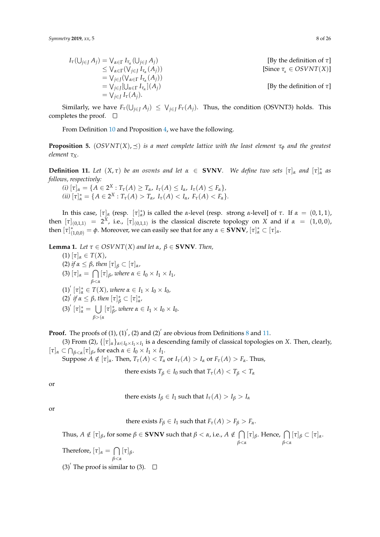$$
I_{\tau}(\bigcup_{j\in J} A_j) = \bigvee_{\alpha \in \Gamma} I_{\tau_{\alpha}}(\bigcup_{j\in J} A_j)
$$
  
\n
$$
\leq \bigvee_{\alpha \in \Gamma} (\bigvee_{j\in J} I_{\tau_{\alpha}}(A_j))
$$
  
\n
$$
= \bigvee_{j\in J} (\bigvee_{\alpha \in \Gamma} I_{\tau_{\alpha}}(A_j))
$$
  
\n
$$
= \bigvee_{j\in J} [ \bigcup_{\alpha \in \Gamma} I_{\tau_{\alpha}} \big](A_j)
$$
  
\n[By the definition of  $\tau$ ]  
\n[By the definition of  $\tau$ ]  
\n[By the definition of  $\tau$ ]  
\n[By the definition of  $\tau$ ]  
\n[By the definition of  $\tau$ ]  
\n[By the definition of  $\tau$ ]  
\n[By the definition of  $\tau$ ]  
\n[By the definition of  $\tau$ ]  
\n[By the definition of  $\tau$ ]  
\n[By the definition of  $\tau$ ]  
\n[By the definition of  $\tau$ ]  
\n[By the definition of  $\tau$ ]  
\n[By the definition of  $\tau$ ]  
\n[By the definition of  $\tau$ ]  
\n[By the definition of  $\tau$ ]  
\n[By the definition of  $\tau$ ]  
\n[By the definition of  $\tau$ ]  
\n[By the definition of  $\tau$ ]  
\n[By the definition of  $\tau$ ]  
\n[By the definition of  $\tau$ ]  
\n[By the definition of  $\tau$ ]  
\n[By the definition of  $\tau$ ]  
\n[By the definition of  $\tau$ ]  
\n[By the definition of  $\tau$ ]  
\n[By the definition of  $\tau$ ]  
\n[By the definition of  $\tau$ ]  
\n[By the definition of  $\tau$ ]  
\n[By the definition of  $\tau$ ]  
\n[By the definition of  $\tau$ ]  
\n[By the definition of  $\tau$ ]  
\n[By the definition of  $\tau$ ]  
\n[By the definition of  $\tau$ ]  
\n[By the definition of  $\tau$ ]  
\n[By the definition of  $\tau$ ]  
\n[By the definition of  $\tau$ ]  
\n[

Similarly, we have  $F_{\tau}(\bigcup_{j\in J} A_j) \leq \bigvee_{j\in J} F_{\tau}(A_j)$ . Thus, the condition (OSVNT3) holds. This completes the proof.  $\square$ 

From Definition [10](#page-6-0) and Proposition [4,](#page-6-1) we have the following.

**Proposition 5.** ( $OSVNT(X), \preceq$ ) *is a meet complete lattice with the least element*  $\tau_{\phi}$  *and the greatest element τX.*

<span id="page-7-0"></span>**Definition 11.** Let  $(X, \tau)$  be an osvnts and let  $\alpha \in \text{SVNV}$ . We define two sets  $[\tau]_{\alpha}$  and  $[\tau]_{\alpha}^{*}$  as *follows, respectively:*

 $f(i)$   $[\tau]_{\alpha} = \{A \in 2^{X} : T_{\tau}(A) \geq T_{\alpha}, I_{\tau}(A) \leq I_{\alpha}, I_{\tau}(A) \leq F_{\alpha}\},$  $(iii)$   $[\tau]_{\alpha}^{*} = \{A \in 2^{X} : T_{\tau}(A) > T_{\alpha}, I_{\tau}(A) < I_{\alpha}, F_{\tau}(A) < F_{\alpha}\}.$ 

In this case,  $[\tau]_α$  (resp.  $[\tau]_α^*$ ) is called the *α*-level (resp. strong *α*-level] of *τ*. If  $α = (0,1,1)$ , then  $[\tau]_{(0,1,1)} = 2^X$ , i.e.,  $[\tau]_{(0,1,1)}$  is the classical discrete topology on *X* and if  $\alpha = (1,0,0)$ ,  ${\rm then} \ [\tau]^*_{(1,0,0)} = \phi$ . Moreover, we can easily see that for any  $\alpha \in {\bf SVNV}$ ,  $[\tau]^*_{\alpha} \subset [\tau]_{\alpha}$ .

<span id="page-7-1"></span>**Lemma 1.** *Let*  $\tau \in OSVNT(X)$  *and let*  $\alpha$ ,  $\beta \in SVNV$ *. Then,* 

(1) [*τ*]*<sup>α</sup>* ∈ *T*(*X*), (2) *if*  $\alpha$  ≤  $\beta$ *, then*  $[\tau]_{\beta}$  ⊂  $[\tau]_{\alpha}$ *,*  $(3) [\tau]_{\alpha} = \bigcap$ *β*<*α*  $[\tau]_{\beta}$ *, where*  $\alpha \in I_0 \times I_1 \times I_1$ *,*  $(1)$ <sup>'</sup>  $[\tau]_{\alpha}^{*} \in T(X)$ *, where*  $\alpha \in I_1 \times I_0 \times I_0$ *,*  $(2)^{'}$  *if α* ≤ *β, then*  $[\tau]_{β}^*$  ⊂  $[\tau]_{α}^*$ *,* (3)<sup>'</sup>  $[\tau]_{\alpha}^{*} = \bigcup$ *β*>(*α*  $[\tau]_{\beta}^*$  $\beta$ <sup>*, where*  $\alpha \in I_1 \times I_0 \times I_0$ .</sup>

**Proof.** The proofs of (1), (1)', (2) and (2)' are obvious from Definitions [8](#page-3-0) and [11.](#page-7-0)

(3) From (2),  $\{[\tau]_{\alpha}\}_{\alpha \in I_0 \times I_1 \times I_1}$  is a descending family of classical topologies on *X*. Then, clearly,  $[\tau]_{\alpha} \subset \bigcap_{\beta < \alpha} [\tau]_{\beta}$ , for each  $\alpha \in I_0 \times I_1 \times I_1$ .

Suppose  $A \notin [\tau]_\alpha$ . Then,  $T_\tau(A) < T_\alpha$  or  $I_\tau(A) > I_\alpha$  or  $F_\tau(A) > F_\alpha$ . Thus,

there exists *T*<sup>*β*</sup>  $\in$  *I*<sup>0</sup> such that *T*<sub>*τ*</sub>(*A*) < *T*<sup>*β*</sup>  $\lt$  *T*<sup>*α*</sup>

or

there exists 
$$
I_{\beta} \in I_1
$$
 such that  $I_{\tau}(A) > I_{\beta} > I_{\alpha}$ 

or

there exists  $F_\beta \in I_1$  such that  $F_\tau(A) > F_\beta > F_\alpha$ .

 $\exists$  Thus,  $A \notin [\tau]_β$ , for some  $β ∈$  **SVNV** such that  $β < α$ , i.e.,  $A \notin \bigcap [\tau]_β$ . Hence,  $\bigcap [\tau]_β ⊂ [\tau]_α$ . *β*<*α β*<*α*

Therefore, 
$$
[\tau]_{\alpha} = \bigcap_{\beta < \alpha} [\tau]_{\beta}
$$
.

 $(3)$ <sup>'</sup> The proof is similar to  $(3)$ .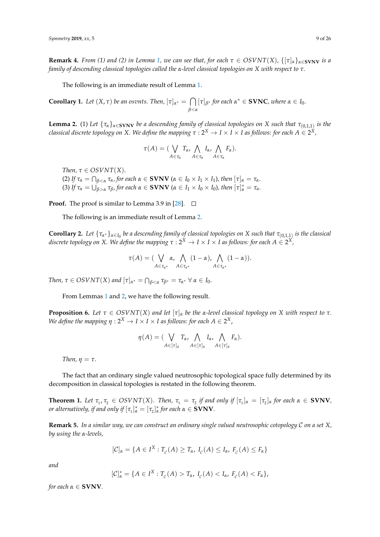**Remark 4.** *From (1) and (2) in Lemma [1,](#page-7-1) we can see that, for each*  $\tau \in OSVNT(X)$ ,  $\{[\tau]_a\}_{a \in \mathbf{SVNV}}$  *is a family of descending classical topologies called the α-level classical topologies on X with respect to τ.*

The following is an immediate result of Lemma [1.](#page-7-1)

**Corollary 1.** *Let*  $(X, \tau)$  *be an osvnts. Then,*  $[\tau]_{\alpha^*} = \bigcap$ *β*<*α*  $[\tau]_{\beta^*}$  *for each*  $\alpha^* \in$  **SVNC***, where*  $\alpha \in I_0$ *.* 

<span id="page-8-0"></span>**Lemma 2.** (1) Let  $\{\tau_\alpha\}_{\alpha \in \text{SVNV}}$  be a descending family of classical topologies on X such that  $\tau_{(0,1,1)}$  is the *classical discrete topology on X. We define the mapping τ* : 2*<sup>X</sup>* → *I* × *I* × *I as follows: for each A* ∈ 2 *X,*

$$
\tau(A) = (\bigvee_{A \in \tau_{\alpha}} T_{\alpha}, \bigwedge_{A \in \tau_{\alpha}} I_{\alpha}, \bigwedge_{A \in \tau_{\alpha}} F_{\alpha}).
$$

*Then,*  $\tau \in OSVNT(X)$ .

(2) If  $\tau_{\alpha} = \bigcap_{\beta < \alpha} \tau_{\alpha}$ , for each  $\alpha \in \mathbf{SVNV}$  ( $\alpha \in I_0 \times I_1 \times I_1$ ), then  $[\tau]_{\alpha} = \tau_{\alpha}$ . (3) If  $\tau_{\alpha} = \bigcup_{\beta > \alpha}^{\beta} \tau_{\beta}$ , for each  $\alpha \in \mathbf{SVNV}$  ( $\alpha \in I_1 \times I_0 \times I_0$ ), then  $[\tau]_{\alpha}^* = \tau_{\alpha}$ .

**Proof.** The proof is similar to Lemma 3.9 in [\[28\]](#page-24-15).  $\Box$ 

The following is an immediate result of Lemma [2.](#page-8-0)

**Corollary 2.** Let  $\{\tau_{\alpha^*}\}_{\alpha \in I_0}$  be a descending family of classical topologies on X such that  $\tau_{(0,1,1)}$  is the classical discrete topology on X. We define the mapping  $\tau: 2^X \to I \times I \times I$  as follows: for each  $A \in 2^X$ ,

$$
\tau(A) = (\bigvee_{A \in \tau_{\alpha^*}} \alpha, \bigwedge_{A \in \tau_{\alpha^*}} (1 - \alpha), \bigwedge_{A \in \tau_{\alpha^*}} (1 - \alpha)).
$$

*Then,*  $\tau \in OSVNT(X)$  and  $[\tau]_{\alpha^*} = \bigcap_{\beta < \alpha} \tau_{\beta^*} = \tau_{\alpha^*} \ \forall \ \alpha \in I_0$ .

From Lemmas [1](#page-7-1) and [2,](#page-8-0) we have the following result.

**Proposition 6.** Let  $\tau \in OSVNT(X)$  and let  $[\tau]_{\alpha}$  be the  $\alpha$ -level classical topology on X with respect to  $\tau$ . *We define the mapping*  $\eta: 2^X \to I \times I \times I$  *as follows: for each*  $A \in 2^X$ *,* 

$$
\eta(A) = (\bigvee_{A \in [\tau]_{\alpha}} T_{\alpha}, \bigwedge_{A \in [\tau]_{\alpha}} I_{\alpha}, \bigwedge_{A \in [\tau]_{\alpha}} F_{\alpha}).
$$

*Then,*  $\eta = \tau$ .

The fact that an ordinary single valued neutrosophic topological space fully determined by its decomposition in classical topologies is restated in the following theorem.

**Theorem 1.** Let  $\tau_1$ ,  $\tau_2$   $\in$   $OSVNT(X)$ . Then,  $\tau_1 = \tau_2$  if and only if  $[\tau_1]_\alpha = [\tau_2]_\alpha$  for each  $\alpha \in$  **SVNV**, *or alternatively, if and only if*  $[\tau_1]_{\alpha}^* = [\tau_2]_{\alpha}^*$  *for each*  $\alpha \in \mathbf{SVNV}$ *.* 

**Remark 5.** *In a similar way, we can construct an ordinary single valued neutrosophic cotopology* C *on a set X, by using the α-levels,*

$$
[\mathcal{C}]_{\alpha} = \{A \in I^X : T_c(A) \geq T_{\alpha}, I_c(A) \leq I_{\alpha}, F_c(A) \leq F_{\alpha}\}\
$$

*and*

$$
[\mathcal{C}]_{\alpha}^* = \{A \in I^X : T_c(A) > T_{\alpha}, I_c(A) < I_{\alpha}, F_c(A) < F_{\alpha}\},
$$

*X*

*for each*  $\alpha \in$  **SVNV***.*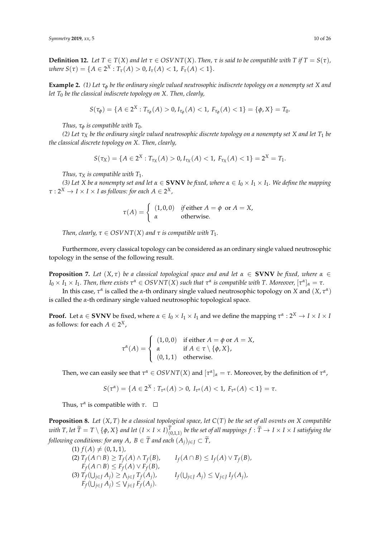**Definition 12.** Let  $T \in T(X)$  and let  $\tau \in OSVNT(X)$ . Then,  $\tau$  is said to be compatible with  $T$  if  $T = S(\tau)$ , *where*  $S(\tau) = \{A \in 2^X : T_\tau(A) > 0, I_\tau(A) < 1, F_\tau(A) < 1\}.$ 

**Example 2.** (1) Let  $\tau_{\phi}$  be the ordinary single valued neutrosophic indiscrete topology on a nonempty set X and *let T*<sup>0</sup> *be the classical indiscrete topology on X. Then, clearly,*

$$
S(\tau_{\phi}) = \{A \in 2^X : T_{\tau_{\phi}}(A) > 0, I_{\tau_{\phi}}(A) < 1, F_{\tau_{\phi}}(A) < 1\} = \{\phi, X\} = T_0.
$$

*Thus,*  $\tau_{\phi}$  *is compatible with*  $T_0$ *.* 

*(2) Let τ<sup>X</sup> be the ordinary single valued neutrosophic discrete topology on a nonempty set X and let T*<sup>1</sup> *be the classical discrete topology on X. Then, clearly,*

$$
S(\tau_X) = \{A \in 2^X : T_{\tau_X}(A) > 0, I_{\tau_X}(A) < 1, F_{\tau_X}(A) < 1\} = 2^X = T_1.
$$

*Thus,*  $\tau_X$  *is compatible with*  $T_1$ *.* 

*(3) Let X be a nonempty set and let α* ∈ **SVNV** *be fixed, where α* ∈ *I*<sup>0</sup> × *I*<sup>1</sup> × *I*1*. We define the mapping*  $\tau: 2^X \to I \times I \times I$  as follows: for each  $A \in 2^X$  ,

$$
\tau(A) = \begin{cases} (1,0,0) & \text{if either } A = \phi \text{ or } A = X, \\ \alpha & \text{otherwise.} \end{cases}
$$

*Then, clearly,*  $\tau \in OSVNT(X)$  *and*  $\tau$  *is compatible with*  $T_1$ *.* 

Furthermore, every classical topology can be considered as an ordinary single valued neutrosophic topology in the sense of the following result.

**Proposition 7.** *Let*  $(X, \tau)$  *be a classical topological space and and let*  $\alpha \in$  **SVNV** *be fixed, where*  $\alpha \in$  $I_0\times I_1\times I_1.$  Then, there exists  $\tau^\alpha\in OSVNT(X)$  such that  $\tau^\alpha$  is compatible with T. Moreover,  $[\tau^\alpha]_\alpha=\tau.$ 

In this case,  $\tau^{\alpha}$  is called the *α*-th ordinary single valued neutrosophic topology on *X* and  $(X, \tau^{\alpha})$ is called the *α*-th ordinary single valued neutrosophic topological space.

**Proof.** Let  $\alpha \in$  **SVNV** be fixed, where  $\alpha \in I_0 \times I_1 \times I_1$  and we define the mapping  $\tau^{\alpha}$  : 2<sup>X</sup>  $\rightarrow$  *I*  $\times$  *I*  $\times$  *I* as follows: for each  $A \in 2^X$ ,

$$
\tau^{\alpha}(A) = \begin{cases} (1,0,0) & \text{if either } A = \phi \text{ or } A = X, \\ \alpha & \text{if } A \in \tau \setminus \{\phi, X\}, \\ (0,1,1) & \text{otherwise.} \end{cases}
$$

Then, we can easily see that  $\tau^{\alpha} \in OSVNT(X)$  and  $[\tau^{\alpha}]_{\alpha} = \tau$ . Moreover, by the definition of  $\tau^{\alpha}$ ,

$$
S(\tau^{\alpha}) = \{A \in 2^{X} : T_{\tau^{\alpha}}(A) > 0, I_{\tau^{\alpha}}(A) < 1, F_{\tau^{\alpha}}(A) < 1\} = \tau.
$$

Thus,  $\tau^{\alpha}$  is compatible with  $\tau$ .

**Proposition 8.** *Let* (*X*, *T*) *be a classical topological space, let C*(*T*) *be the set of all osvnts on X compatible* with T, let  $\widetilde{T}=T\setminus\{\phi,X\}$  and let  $(I\times I\times I)^T_{(0,1,1)}$  be the set of all mappings  $f:\widetilde{T}\to I\times I\times I$  satisfying the *following conditions: for any A, B*  $\in \widetilde{T}$  *and each*  $(A_i)_{i \in I} \subset \widetilde{T}$ *,* 

 $(1) f(A) \neq (0, 1, 1)$ , (2)  $T_f(A ∩ B) ≥ T_f(A) ∧ T_f$  $I_f(A \cap B) \leq I_f(A) \vee T_f(B)$ ,  $F_f(A \cap B) \leq F_f(A) \vee F_f(B)$ (3)  $T_f$ (∪ $_{j \in J}$  *A*<sub>*j*</sub>) ≥  $\Lambda_{j \in J}$   $T_f$  $I_f(\bigcup_{j \in J} A_j) \leq \bigvee_{j \in J} I_f(A_j)$  $F_f(\bigcup_{j\in J} A_j) \leq \bigvee_{j\in J} F_f(A_j).$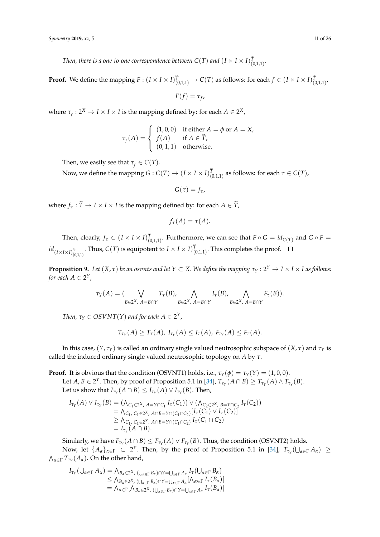*Then, there is a one-to-one correspondence between*  $C(T)$  *and*  $(I \times I \times I)^T_{(0,1,1)}.$ 

**Proof.** We define the mapping  $F : (I \times I \times I)_{(0,1,1)}^T \to C(T)$  as follows: for each  $f \in (I \times I \times I)_{(0,1,1)}^T$ 

$$
F(f)=\tau_f,
$$

where  $\tau_f: 2^X \to I \times I \times I$  is the mapping defined by: for each  $A \in 2^X$ ,

$$
\tau_f(A) = \begin{cases}\n(1,0,0) & \text{if either } A = \phi \text{ or } A = X, \\
f(A) & \text{if } A \in \widetilde{T}, \\
(0,1,1) & \text{otherwise.} \n\end{cases}
$$

Then, we easily see that  $\tau_f \in C(T)$ .

Now, we define the mapping  $G: C(T) \to (I \times I \times I)_{(0,1,1)}^T$  as follows: for each  $\tau \in C(T)$ ,

 $G(\tau) = f_{\tau}$ 

where  $f_{\tau}$ :  $\widetilde{T} \rightarrow I \times I \times I$  is the mapping defined by: for each  $A \in \widetilde{T}$ ,

$$
f_{\tau}(A)=\tau(A).
$$

Then, clearly,  $f_\tau \in (I \times I \times I)_{(0,1,1)}^T$ . Furthermore, we can see that  $F \circ G = id_{C(T)}$  and  $G \circ F =$  $id_{(I\times I\times I)\tilde{T\choose (0,1,1)}}$ . Thus,  $C(T)$  is equipotent to  $I\times I\times I)^{T\choose (0,1,1)}$ . This completes the proof.

<span id="page-10-0"></span>**Proposition 9.** Let  $(X, \tau)$  be an osvnts and let  $Y \subset X$ . We define the mapping  $\tau_Y: 2^Y \to I \times I \times I$  as follows: for each  $A \in 2^Y$ ,

$$
\tau_Y(A) = (\bigvee_{B \in 2^X, A = B \cap Y} T_{\tau}(B), \bigwedge_{B \in 2^X, A = B \cap Y} I_{\tau}(B), \bigwedge_{B \in 2^X, A = B \cap Y} F_{\tau}(B)).
$$

*Then,*  $\tau_Y \in OSVNT(Y)$  and for each  $A \in 2^Y$ ,

$$
T_{\tau_Y}(A) \geq T_{\tau}(A), I_{\tau_Y}(A) \leq I_{\tau}(A), F_{\tau_Y}(A) \leq F_{\tau}(A).
$$

In this case,  $(Y, \tau_Y)$  is called an ordinary single valued neutrosophic subspace of  $(X, \tau)$  and  $\tau_Y$  is called the induced ordinary single valued neutrosophic topology on *A* by *τ*.

**Proof.** It is obvious that the condition (OSVNT1) holds, i.e.,  $\tau_Y(\phi) = \tau_Y(Y) = (1, 0, 0)$ . Let  $A, B \in 2^Y$ . Then, by proof of Proposition 5.1 in [\[34\]](#page-24-21),  $T_{\tau_Y}(A \cap B) \geq T_{\tau_Y}(A) \wedge T_{\tau_Y}(B)$ . Let us show that  $I_{\tau_Y}(A \cap B) \leq I_{\tau_Y}(A) \vee I_{\tau_Y}(B)$ . Then,

$$
I_{\tau_Y}(A) \vee I_{\tau_Y}(B) = (\wedge_{C_1 \in 2^X, A = Y \cap C_1} I_{\tau}(C_1)) \vee (\wedge_{C_2 \in 2^X, B = Y \cap C_2} I_{\tau}(C_2))
$$
  
=  $\wedge_{C_1, C_1 \in 2^X, A \cap B = Y \cap (C_1 \cap C_2)} [I_{\tau}(C_1) \vee I_{\tau}(C_2)]$   
 $\geq \wedge_{C_1, C_1 \in 2^X, A \cap B = Y \cap (C_1 \cap C_2)} I_{\tau}(C_1 \cap C_2)$   
=  $I_{\tau_Y}(A \cap B).$ 

 $\text{Similarly, we have } F_{\tau_Y}(A \cap B) \leq F_{\tau_Y}(A) \vee F_{\tau_Y}(B). \text{ Thus, the condition (OSVNT2) holds.}$ Now, let  $\{A_\alpha\}_{\alpha \in \Gamma} \subset 2^Y$ . Then, by the proof of Proposition 5.1 in [\[34\]](#page-24-21),  $T_{\tau_Y}(\bigcup_{\alpha \in \Gamma} A_\alpha) \ge$  $\bigwedge_{\alpha \in \Gamma} T_{\tau_Y}(A_\alpha)$ . On the other hand,

$$
I_{\tau_Y}(\bigcup_{\alpha \in \Gamma} A_{\alpha}) = \bigwedge_{B_{\alpha} \in 2^X, \; (\bigcup_{\alpha \in \Gamma} B_{\alpha}) \cap Y = \bigcup_{\alpha \in \Gamma} A_{\alpha}} I_{\tau}(\bigcup_{\alpha \in \Gamma} B_{\alpha})
$$
  
\n
$$
\leq \bigwedge_{B_{\alpha} \in 2^X, \; (\bigcup_{\alpha \in \Gamma} B_{\alpha}) \cap Y = \bigcup_{\alpha \in \Gamma} A_{\alpha}} [A_{\alpha \in \Gamma} I_{\tau}(B_{\alpha})]
$$
  
\n
$$
= \bigwedge_{\alpha \in \Gamma} [\bigwedge_{B_{\alpha} \in 2^X, \; (\bigcup_{\alpha \in \Gamma} B_{\alpha}) \cap Y = \bigcup_{\alpha \in \Gamma} A_{\alpha}} I_{\tau}(B_{\alpha})]
$$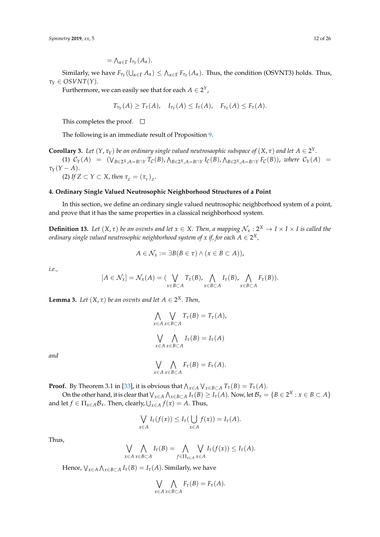Similarly, we have  $F_{\tau_Y}(\bigcup_{\alpha \in \Gamma} A_\alpha) \leq \bigwedge_{\alpha \in \Gamma} F_{\tau_Y}(A_\alpha)$ . Thus, the condition (OSVNT3) holds. Thus, *τ<sup>Y</sup>* ∈ *OSVNT*(*Y*).

Furthermore, we can easily see that for each  $A \in 2^Y$ ,

$$
T_{\tau_Y}(A) \geq T_{\tau}(A), \quad I_{\tau_Y}(A) \leq I_{\tau}(A), \quad F_{\tau_Y}(A) \leq F_{\tau}(A).
$$

This completes the proof.  $\square$ 

The following is an immediate result of Proposition [9.](#page-10-0)

**Corollary 3.** Let  $(Y, \tau_Y)$  be an ordinary single valued neutrosaophic subspace of  $(X, \tau)$  and let  $A \in 2^Y$ . (1)  $C_Y(A) = (\bigvee_{B \in 2^X, A = B \cap Y} T_C(B), \bigwedge_{B \in 2^X, A = B \cap Y} I_C(B), \bigwedge_{B \in 2^X, A = B \cap Y} F_C(B)),$  where  $C_Y(A) =$  $\tau_Y(Y-A)$ . (2) *If*  $Z \subset Y \subset X$ , *then*  $\tau_Z = (\tau_Y)_Z$ .

### **4. Ordinary Single Valued Neutrosophic Neighborhood Structures of a Point**

In this section, we define an ordinary single valued neutrosophic neighborhood system of a point, and prove that it has the same properties in a classical neighborhood system.

<span id="page-11-1"></span>**Definition 13.** Let  $(X, \tau)$  be an osvnts and let  $x \in X$ . Then, a mapping  $\mathcal{N}_x : 2^X \to I \times I \times I$  is called the *ordinary single valued neutrosophic neighborhood system of x if, for each*  $A \in 2^X$ *,* 

$$
A\in\mathcal{N}_x:=\exists B(B\in\tau)\wedge(x\in B\subset A)),
$$

*i.e.,*

$$
[A \in \mathcal{N}_x] = \mathcal{N}_x(A) = (\bigvee_{x \in B \subset A} T_\tau(B), \bigwedge_{x \in B \subset A} I_\tau(B), \bigwedge_{x \in B \subset A} F_\tau(B)).
$$

<span id="page-11-0"></span>**Lemma 3.** Let  $(X, \tau)$  be an osvnts and let  $A \in 2^X$ . Then,

$$
\bigwedge_{x \in A} \bigvee_{x \in B \subset A} T_{\tau}(B) = T_{\tau}(A),
$$

$$
\bigvee_{x \in A} \bigwedge_{x \in B \subset A} I_{\tau}(B) = I_{\tau}(A)
$$

*and*

$$
\bigvee_{x \in A} \bigwedge_{x \in B \subset A} F_{\tau}(B) = F_{\tau}(A).
$$

**Proof.** By Theorem 3.1 in [\[33\]](#page-24-20), it is obvious that  $\bigwedge_{x \in A} \bigvee_{x \in B \subset A} T_{\tau}(B) = T_{\tau}(A)$ .

On the other hand, it is clear that  $\bigvee_{x \in A} \bigwedge_{x \in B \subset A} I_{\tau}(B) \geq I_{\tau}(A)$ . Now, let  $\mathcal{B}_x = \{B \in 2^X : x \in B \subset A\}$ and let  $f \in \Pi_{x \in A} \mathcal{B}_x$ . Then, clearly,  $\bigcup_{x \in A} f(x) = A$ . Thus,

$$
\bigvee_{x \in A} I_{\tau}(f(x)) \leq I_{\tau}(\bigcup_{x \in A} f(x)) = I_{\tau}(A).
$$

Thus,

$$
\bigvee_{x \in A} \bigwedge_{x \in B \subset A} I_{\tau}(B) = \bigwedge_{f \in \Pi_{x \in A}} \bigvee_{x \in A} I_{\tau}(f(x)) \leq I_{\tau}(A).
$$

Hence,  $\bigvee_{x \in A} \bigwedge_{x \in B \subset A} I_{\tau}(B) = I_{\tau}(A)$ . Similarly, we have

$$
\bigvee_{x \in A} \bigwedge_{x \in B \subset A} F_{\tau}(B) = F_{\tau}(A).
$$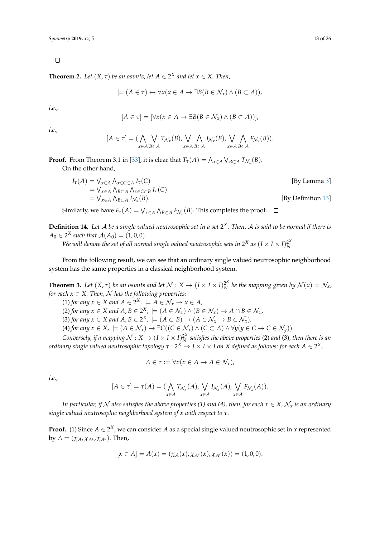$\Box$ 

**Theorem 2.** Let  $(X, \tau)$  be an osvnts, let  $A \in 2^X$  and let  $x \in X$ . Then,

$$
\models (A \in \tau) \leftrightarrow \forall x (x \in A \rightarrow \exists B (B \in \mathcal{N}_x) \land (B \subset A)),
$$

*i.e.,*

$$
[A \in \tau] = [\forall x (x \in A \rightarrow \exists B (B \in \mathcal{N}_x) \land (B \subset A))],
$$

*i.e.,*

$$
[A \in \tau] = (\bigwedge_{x \in A} \bigvee_{B \subset A} T_{\mathcal{N}_x}(B), \bigvee_{x \in A} \bigwedge_{B \subset A} I_{\mathcal{N}_x}(B), \bigvee_{x \in A} \bigwedge_{B \subset A} F_{\mathcal{N}_x}(B)).
$$

**Proof.** From Theorem 3.1 in [\[33\]](#page-24-20), it is clear that  $T_{\tau}(A) = \bigwedge_{x \in A} \bigvee_{B \subset A} T_{\mathcal{N}_x}(B)$ . On the other hand,

$$
I_{\tau}(A) = \bigvee_{x \in A} \bigwedge_{x \in C \subset A} I_{\tau}(C)
$$
  
\n
$$
= \bigvee_{x \in A} \bigwedge_{B \subset A} \bigwedge_{x \in C \subset B} I_{\tau}(C)
$$
  
\n
$$
= \bigvee_{x \in A} \bigwedge_{B \subset A} I_{\mathcal{N}_x}(B).
$$
  
\n[By Definition 13]

Similarly, we have  $F_{\tau}(A) = \bigvee_{x \in A} \bigwedge_{B \subset A} F_{\mathcal{N}_x}(B)$ . This completes the proof.

**Definition 14.** *Let* A *be a single valued neutrosophic set in a set* 2 *<sup>X</sup>. Then,* A *is said to be normal if there is*  $A_0 \in 2^X$  such that  $\mathcal{A}(A_0) = (1, 0, 0)$ *.* 

*We will denote the set of all normal single valued neutrosophic sets in 2<sup>X</sup> as*  $(I \times I \times I)_{N}^{2^{X}}$ *N .*

From the following result, we can see that an ordinary single valued neutrosophic neighborhood system has the same properties in a classical neighborhood system.

<span id="page-12-0"></span>**Theorem 3.** Let  $(X, \tau)$  be an osvnts and let  $\mathcal{N}: X \to (I \times I \times I)^{2^X}_N$  $\frac{2^{\alpha}}{N}$  be the mapping given by  $\mathcal{N}(x) = \mathcal{N}_x$ , *for each*  $x \in X$ *. Then,*  $\mathcal N$  *has the following properties:* 

 $(1)$  *for any*  $x \in X$  *and*  $A \in 2^X$ ,  $\models A \in \mathcal{N}_x \rightarrow x \in A$ ,

(2) for any  $x \in X$  and  $A, B \in 2^X$ ,  $\models (A \in \mathcal{N}_x) \land (B \in \mathcal{N}_x) \rightarrow A \cap B \in \mathcal{N}_x$ ,

(3) *for any*  $x \in X$  *and*  $A, B \in 2^X$ ,  $\models (A \subset B) \rightarrow (A \in \mathcal{N}_x \rightarrow B \in \mathcal{N}_x)$ ,

 $(4)$  *for any*  $x \in X$ ,  $\models (A \in \mathcal{N}_x) \rightarrow \exists C((C \in \mathcal{N}_x) \land (C \subset A) \land \forall y(y \in C \rightarrow C \in \mathcal{N}_y)).$ 

*Conversely, if a mapping*  $\mathcal{N}: X \to (I \times I \times I)^{2^X}_{N^X}$ *N satisfies the above properties* (2) *and* (3)*, then there is an ordinary single valued neutrosophic topology τ* : 2*<sup>X</sup>* → *I* × *I* × *I on X defined as follows: for each A* ∈ 2 *X,*

$$
A \in \tau := \forall x (x \in A \to A \in \mathcal{N}_x),
$$

*i.e.,*

$$
[A \in \tau] = \tau(A) = (\bigwedge_{x \in A} T_{\mathcal{N}_x}(A), \bigvee_{x \in A} I_{\mathcal{N}_x}(A), \bigvee_{x \in A} F_{\mathcal{N}_x}(A)).
$$

*In particular, if* N also satisfies the above properties (1) and (4), then, for each  $x \in X$ ,  $\mathcal{N}_x$  is an ordinary *single valued neutrosophic neighborhood system of x with respect to τ.*

**Proof.** (1) Since  $A \in 2^X$ , we can consider  $A$  as a special single valued neutrosophic set in  $x$  represented by  $A = (\chi_A, \chi_{A^c}, \chi_{A^c})$ . Then,

$$
[x \in A] = A(x) = (\chi_A(x), \chi_{A^c}(x), \chi_{A^c}(x)) = (1, 0, 0).
$$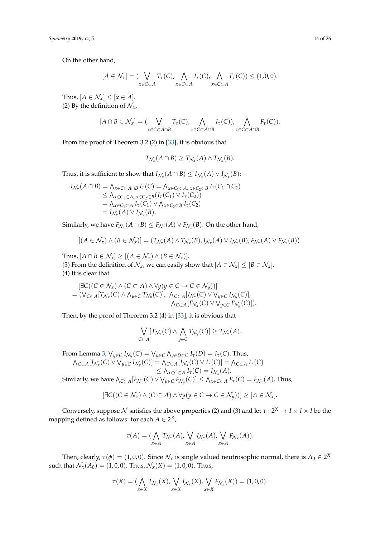On the other hand,

$$
[A \in \mathcal{N}_x] = (\bigvee_{x \in C \subset A} T_{\tau}(C), \bigwedge_{x \in C \subset A} I_{\tau}(C), \bigwedge_{x \in C \subset A} F_{\tau}(C)) \leq (1,0,0).
$$

Thus,  $[A \in \mathcal{N}_x] \leq [x \in A].$ (2) By the definition of  $\mathcal{N}_x$ ,

$$
[A \cap B \in \mathcal{N}_x] = (\bigvee_{x \in C \subset A \cap B} T_{\tau}(C), \bigwedge_{x \in C \subset A \cap B} I_{\tau}(C)), \bigwedge_{x \in C \subset A \cap B} F_{\tau}(C)).
$$

From the proof of Theorem 3.2 (2) in [\[33\]](#page-24-20), it is obvious that

$$
T_{\mathcal{N}_x}(A \cap B) \geq T_{\mathcal{N}_x}(A) \wedge T_{\mathcal{N}_x}(B).
$$

Thus, it is sufficient to show that  $I_{\mathcal{N}_x}(A \cap B) \leq I_{\mathcal{N}_x}(A) \vee I_{\mathcal{N}_x}(B)$ :

$$
I_{\mathcal{N}_x}(A \cap B) = \bigwedge_{x \in C \subset A \cap B} I_{\tau}(C) = \bigwedge_{x \in C_1 \subset A, x \in C_2 \subset B} I_{\tau}(C_1 \cap C_2)
$$
  
\n
$$
\leq \bigwedge_{x \in C_1 \subset A, x \in C_2 \subset B} (I_{\tau}(C_1) \vee I_{\tau}(C_2))
$$
  
\n
$$
= \bigwedge_{x \in C_1 \subset A} I_{\tau}(C_1) \vee \bigwedge_{x \in C_2 \subset B} I_{\tau}(C_2)
$$
  
\n
$$
= I_{\mathcal{N}_x}(A) \vee I_{\mathcal{N}_x}(B).
$$

Similarly, we have  $F_{\mathcal{N}_x}(A \cap B) \leq F_{\mathcal{N}_x}(A) \vee F_{\mathcal{N}_x}(B)$ . On the other hand,

$$
[(A \in \mathcal{N}_x) \land (B \in \mathcal{N}_x)] = (T_{\mathcal{N}_x}(A) \land T_{\mathcal{N}_x}(B), I_{\mathcal{N}_x}(A) \lor I_{\mathcal{N}_x}(B), F_{\mathcal{N}_x}(A) \lor F_{\mathcal{N}_x}(B)).
$$

Thus,  $[A \cap B \in \mathcal{N}_x] \ge [(A \in \mathcal{N}_x) \wedge (B \in \mathcal{N}_x)].$ (3) From the definition of  $\mathcal{N}_x$ , we can easily show that  $[A \in \mathcal{N}_x] \leq [B \in \mathcal{N}_x]$ . (4) It is clear that

$$
[\exists C((C \in \mathcal{N}_x) \land (C \subset A) \land \forall y(y \in C \to C \in \mathcal{N}_y))]
$$
  
=  $(\bigvee_{C \subset A} [T_{\mathcal{N}_x}(C) \land \bigwedge_{y \in C} T_{\mathcal{N}_y}(C)], \bigwedge_{C \subset A} [I_{\mathcal{N}_x}(C) \lor \bigvee_{y \in C} I_{\mathcal{N}_y}(C)],$   
 $\bigwedge_{C \subset A} [F_{\mathcal{N}_x}(C) \lor \bigvee_{y \in C} F_{\mathcal{N}_y}(C)]\big).$ 

Then, by the proof of Theorem 3.2 (4) in [\[33\]](#page-24-20), it is obvious that

$$
\bigvee_{C\subset A}[T_{\mathcal{N}_x}(C)\wedge\bigwedge_{y\in C}T_{\mathcal{N}_y}(C)]\geq T_{\mathcal{N}_x}(A).
$$

From Lemma [3,](#page-11-0)  $\bigvee_{y \in C} I_{\mathcal{N}_y}(C) = \bigvee_{y \in C} \bigwedge_{y \in D \subset C} I_\tau(D) = I_\tau(C).$  Thus,  $\bigwedge_{C\subset A}[I_{\mathcal{N}_x}(C)\vee \bigvee_{y\in C}I_{\mathcal{N}_y}(C)]=\bigwedge_{C\subset A}[I_{\mathcal{N}_x}(C)\vee I_{\tau}(C)]=\bigwedge_{C\subset A}I_{\tau}(C)$  $\leq \bigwedge_{x \in C \subset A} I_{\tau}(C) = I_{\mathcal{N}_x}(A).$ Similarly, we have  $\bigwedge_{C\subset A} [F_{\mathcal{N}_x}(C)\vee \bigvee_{y\in C} F_{\mathcal{N}_y}(C)]\leq \bigwedge_{x\in C\subset A} F_\tau(C)=F_{\mathcal{N}_x}(A).$  Thus,

$$
[\exists C((C \in \mathcal{N}_x) \land (C \subset A) \land \forall y(y \in C \to C \in \mathcal{N}_y))] \geq [A \in \mathcal{N}_x].
$$

Conversely, suppose  $\cal N$  satisfies the above properties (2) and (3) and let  $\tau: 2^X \to I \times I \times I$  be the mapping defined as follows: for each  $A \in 2^X$ ,

$$
\tau(A) = (\bigwedge_{x \in A} T_{\mathcal{N}_x}(A), \bigvee_{x \in A} I_{\mathcal{N}_x}(A), \bigvee_{x \in A} F_{\mathcal{N}_x}(A)).
$$

Then, clearly,  $\tau(\phi) = (1,0,0)$ . Since  $\mathcal{N}_x$  is single valued neutrosophic normal, there is  $A_0 \in 2^X$ such that  $\mathcal{N}_x(A_0) = (1, 0, 0)$ . Thus,  $\mathcal{N}_x(X) = (1, 0, 0)$ . Thus,

$$
\tau(X)=(\bigwedge_{x\in X}T_{\mathcal{N}_X}(X),\bigvee_{x\in X}I_{\mathcal{N}_X}(X),\bigvee_{x\in X}F_{\mathcal{N}_X}(X))=(1,0,0).
$$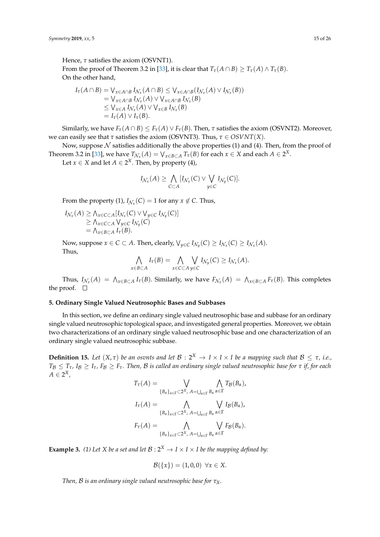Hence, *τ* satisfies the axiom (OSVNT1). From the proof of Theorem 3.2 in [\[33\]](#page-24-20), it is clear that  $T_\tau(A \cap B) \geq T_\tau(A) \wedge T_\tau(B)$ . On the other hand,

$$
I_{\tau}(A \cap B) = \bigvee_{x \in A \cap B} I_{\mathcal{N}_x}(A \cap B) \leq \bigvee_{x \in A \cap B} (I_{\mathcal{N}_x}(A) \vee I_{\mathcal{N}_x}(B))
$$
  
\n
$$
= \bigvee_{x \in A \cap B} I_{\mathcal{N}_x}(A) \vee \bigvee_{x \in A \cap B} I_{\mathcal{N}_x}(B)
$$
  
\n
$$
\leq \bigvee_{x \in A} I_{\mathcal{N}_x}(A) \vee \bigvee_{x \in B} I_{\mathcal{N}_x}(B)
$$
  
\n
$$
= I_{\tau}(A) \vee I_{\tau}(B).
$$

Similarly, we have  $F_\tau(A \cap B) \leq F_\tau(A) \vee F_\tau(B)$ . Then,  $\tau$  satisfies the axiom (OSVNT2). Moreover, we can easily see that *τ* satisfies the axiom (OSVNT3). Thus, *τ* ∈ *OSVNT*(*X*).

Now, suppose  $N$  satisfies additionally the above properties (1) and (4). Then, from the proof of Theorem 3.2 in [\[33\]](#page-24-20), we have  $T_{\mathcal{N}_x}(A) = \bigvee_{x \in B \subset A} T_\tau(B)$  for each  $x \in X$  and each  $A \in 2^X$ .

Let  $x \in X$  and let  $A \in 2^X$ . Then, by property (4),

$$
I_{\mathcal{N}_x}(A) \geq \bigwedge_{C \subset A} [I_{\mathcal{N}_x}(C) \vee \bigvee_{y \in C} I_{\mathcal{N}_y}(C)].
$$

From the property (1),  $I_{\mathcal{N}_x}(C) = 1$  for any  $x \notin C$ . Thus,

$$
I_{\mathcal{N}_x}(A) \ge \Lambda_{x \in C \subset A} [I_{\mathcal{N}_x}(C) \vee \bigvee_{y \in C} I_{\mathcal{N}_y}(C)]
$$
  
\n
$$
\ge \Lambda_{x \in C \subset A} \bigvee_{y \in C} I_{\mathcal{N}_y}(C)
$$
  
\n
$$
= \Lambda_{x \in B \subset A} I_{\tau}(B).
$$

Now, suppose  $x \in C \subset A$ . Then, clearly,  $\bigvee_{y \in C} I_{\mathcal{N}_y}(C) \geq I_{\mathcal{N}_x}(C) \geq I_{\mathcal{N}_x}(A)$ . Thus,

$$
\bigwedge_{x \in B \subset A} I_{\tau}(B) = \bigwedge_{x \in C \subset A} \bigvee_{y \in C} I_{\mathcal{N}_y}(C) \geq I_{\mathcal{N}_x}(A).
$$

Thus,  $I_{\mathcal{N}_x}(A) = \bigwedge_{x \in B \subset A} I_\tau(B)$ . Similarly, we have  $F_{\mathcal{N}_x}(A) = \bigwedge_{x \in B \subset A} F_\tau(B)$ . This completes the proof.  $\square$ 

### **5. Ordinary Single Valued Neutrosophic Bases and Subbases**

In this section, we define an ordinary single valued neutrosophic base and subbase for an ordinary single valued neutrosophic topological space, and investigated general properties. Moreover, we obtain two characterizations of an ordinary single valued neutrosophic base and one characterization of an ordinary single valued neutrosophic subbase.

<span id="page-14-0"></span>**Definition 15.** Let  $(X, \tau)$  be an osvnts and let  $\mathcal{B}: 2^X \to I \times I \times I$  be a mapping such that  $\mathcal{B} \leq \tau$ , i.e.,  $T_B \leq T_\tau$ ,  $I_B \geq I_\tau$ ,  $F_B \geq F_\tau$ . Then, B is called an ordinary single valued neutrosophic base for  $\tau$  *if, for each*  $A \in 2^X$ ,

$$
T_{\tau}(A) = \bigvee_{\{B_{\alpha}\}_{\alpha \in \Gamma} \subset 2^{X}, A = \bigcup_{\alpha \in \Gamma} B_{\alpha}} \bigwedge_{\alpha \in \Gamma} T_{\mathcal{B}}(B_{\alpha}),
$$

$$
I_{\tau}(A) = \bigwedge_{\{B_{\alpha}\}_{\alpha \in \Gamma} \subset 2^{X}, A = \bigcup_{\alpha \in \Gamma} B_{\alpha}} \bigvee_{\alpha \in \Gamma} I_{\mathcal{B}}(B_{\alpha}),
$$

$$
F_{\tau}(A) = \bigwedge_{\{B_{\alpha}\}_{\alpha \in \Gamma} \subset 2^{X}, A = \bigcup_{\alpha \in \Gamma} B_{\alpha}} \bigvee_{\alpha \in \Gamma} F_{\mathcal{B}}(B_{\alpha}).
$$

**Example 3.** (1) Let X be a set and let  $B: 2^X \rightarrow I \times I \times I$  be the mapping defined by:

$$
\mathcal{B}(\{x\}) = (1,0,0) \ \forall x \in X.
$$

*Then,* B *is an ordinary single valued neutrosophic base for τX.*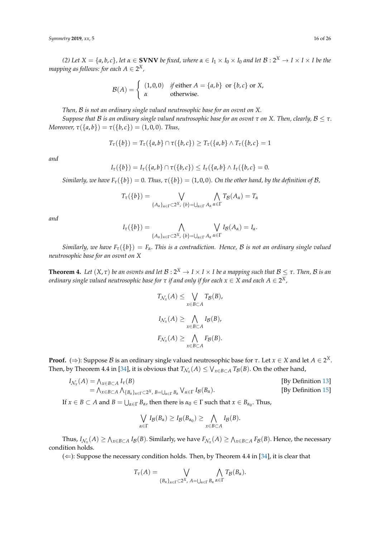(2) Let  $X = \{a,b,c\}$ , let  $\alpha \in$  **SVNV** be fixed, where  $\alpha \in I_1 \times I_0 \times I_0$  and let  $\mathcal{B}: 2^X \to I \times I \times I$  be the mapping as follows: for each  $A \in 2^X$  ,

$$
\mathcal{B}(A) = \begin{cases} (1,0,0) & \text{if either } A = \{a,b\} \text{ or } \{b,c\} \text{ or } X, \\ \alpha & \text{otherwise.} \end{cases}
$$

*Then,* B *is not an ordinary single valued neutrosophic base for an osvnt on X.*

*Suppose that B is an ordinary single valued neutrosophic base for an osvnt τ on X*. Then, clearly,  $B \leq \tau$ . *Moreover,*  $\tau({a,b}) = \tau({b,c}) = (1,0,0)$ *. Thus,* 

$$
T_{\tau}(\{b\}) = T_{\tau}(\{a,b\} \cap \tau(\{b,c\}) \geq T_{\tau}(\{a,b\} \land T_{\tau}(\{b,c\}) = 1
$$

*and*

$$
I_{\tau}(\{b\}) = I_{\tau}(\{a,b\} \cap \tau(\{b,c\}) \leq I_{\tau}(\{a,b\} \wedge I_{\tau}(\{b,c\}) = 0.
$$

*Similarly, we have*  $F_{\tau}(\{b\}) = 0$ *. Thus,*  $\tau(\{b\}) = (1, 0, 0)$ *. On the other hand, by the definition of* B,

$$
T_{\tau}(\{b\}) = \bigvee_{\{A_{\alpha}\}_{\alpha \in \Gamma} \subset 2^{X}, \{b\} = \bigcup_{\alpha \in \Gamma} A_{\alpha}} \bigwedge_{\alpha \in \Gamma} T_{\mathcal{B}}(A_{\alpha}) = T_{\alpha}
$$

*and*

$$
I_{\tau}(\{b\}) = \bigwedge_{\{A_{\alpha}\}_{\alpha \in \Gamma} \subset 2^{X}, \{b\} = \bigcup_{\alpha \in \Gamma} A_{\alpha}} \bigvee_{\alpha \in \Gamma} I_{\mathcal{B}}(A_{\alpha}) = I_{\alpha}.
$$

*Similarly, we have Fτ*({*b*}) = *Fα*. *This is a contradiction. Hence,* B *is not an ordinary single valued neutrosophic base for an osvnt on X*

<span id="page-15-0"></span> $\bf{Theorem~4.}$  Let  $(X,\tau)$  be an osvnts and let  $\mathcal{B}: 2^X \to I \times I \times I$  be a mapping such that  $\mathcal{B} \leq \tau.$  Then,  $\mathcal{B}$  is an  $\sigma$  *ordinary single valued neutrosophic base for*  $\tau$  *if and only if for each*  $x \in X$  *and each*  $A \in 2^X$  *,* 

$$
T_{\mathcal{N}_x}(A) \leq \bigvee_{x \in B \subset A} T_{\mathcal{B}}(B),
$$
  

$$
I_{\mathcal{N}_x}(A) \geq \bigwedge_{x \in B \subset A} I_{\mathcal{B}}(B),
$$
  

$$
F_{\mathcal{N}_x}(A) \geq \bigwedge_{x \in B \subset A} F_{\mathcal{B}}(B).
$$

**Proof.** ( $\Rightarrow$ ): Suppose *B* is an ordinary single valued neutrosophic base for *τ*. Let *x* ∈ *X* and let *A* ∈ 2<sup>*X*</sup>. Then, by Theorem 4.4 in [\[34\]](#page-24-21), it is obvious that  $T_{\mathcal{N}_x}(A) \leq \bigvee_{x \in B \subset A} T_{\mathcal{B}}(B)$ . On the other hand,

$$
I_{\mathcal{N}_x}(A) = \bigwedge_{x \in B \subset A} I_{\tau}(B)
$$
 [By Definition 13]  
=  $\bigwedge_{x \in B \subset A} \bigwedge_{\{B_{\alpha}\}_{\alpha \in \Gamma}} (B_{\alpha})_{\alpha \in \Gamma} I_{\alpha} \bigvee_{\alpha \in \Gamma} I_{\beta}(B_{\alpha}).$ 

If  $x \in B \subset A$  and  $B = \bigcup_{\alpha \in \Gamma} B_{\alpha}$ , then there is  $\alpha_0 \in \Gamma$  such that  $x \in B_{\alpha_0}$ . Thus,

$$
\bigvee_{\alpha \in \Gamma} I_{\mathcal{B}}(B_{\alpha}) \geq I_{\mathcal{B}}(B_{\alpha_0}) \geq \bigwedge_{x \in B \subset A} I_{\mathcal{B}}(B).
$$

Thus,  $I_{\mathcal{N}_x}(A) \ge \Lambda_{x \in B \subset A} I_{\mathcal{B}}(B)$ . Similarly, we have  $F_{\mathcal{N}_x}(A) \ge \Lambda_{x \in B \subset A} F_{\mathcal{B}}(B)$ . Hence, the necessary condition holds.

 $(\Leftarrow)$ : Suppose the necessary condition holds. Then, by Theorem 4.4 in [\[34\]](#page-24-21), it is clear that

$$
T_{\tau}(A) = \bigvee_{\{B_{\alpha}\}_{\alpha \in \Gamma} \subset 2^{X}, A = \bigcup_{\alpha \in \Gamma} B_{\alpha}} \bigwedge_{\alpha \in \Gamma} T_{\mathcal{B}}(B_{\alpha}).
$$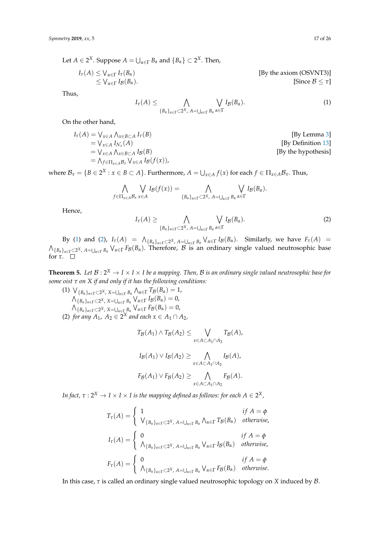Let  $A \in 2^X$ . Suppose  $A = \bigcup_{\alpha \in \Gamma} B_\alpha$  and  $\{B_\alpha\} \subset 2^X$ . Then,

$$
I_{\tau}(A) \leq \bigvee_{\alpha \in \Gamma} I_{\tau}(B_{\alpha})
$$
  
 
$$
\leq \bigvee_{\alpha \in \Gamma} I_{\mathcal{B}}(B_{\alpha}).
$$
  
[By the axiom (OSVNT3)]  
[Since  $B \leq \tau$ ]

Thus,

<span id="page-16-0"></span> $I_{\tau}(A) \leq \qquad \qquad \bigwedge$  ${B_\alpha}_{\alpha \in \Gamma}$   $\subset 2^X$ ,  $A = \bigcup_{\alpha \in \Gamma} B_\alpha$  $\setminus$ *α*∈Γ  $I_{\mathcal{B}}(B_{\alpha}).$  (1)

On the other hand,

$$
I_{\tau}(A) = \bigvee_{x \in A} \bigwedge_{x \in B \subset A} I_{\tau}(B)
$$
  
\n
$$
= \bigvee_{x \in A} I_{\mathcal{N}_x}(A)
$$
  
\n
$$
= \bigvee_{x \in A} \bigwedge_{x \in B \subset A} I_B(B)
$$
  
\n
$$
= \bigwedge_{f \in \Pi_{x \in A} B_x} \bigvee_{x \in A} I_B(f(x)),
$$
  
\n[By Definition 13]  
\n[By the hypothesis]

where  $\mathcal{B}_x = \{B \in 2^X : x \in B \subset A\}$ . Furthermore,  $A = \bigcup_{x \in A} f(x)$  for each  $f \in \Pi_{x \in A} \mathcal{B}_x$ . Thus,

$$
\bigwedge_{f\in\Pi_{x\in A}B_x} \bigvee_{x\in A} I_{\mathcal{B}}(f(x)) = \bigwedge_{\{B_{\alpha}\}_{\alpha\in\Gamma}\subset 2^X, A=\bigcup_{\alpha\in\Gamma}B_{\alpha}} \bigvee_{\alpha\in\Gamma} I_{\mathcal{B}}(B_{\alpha}).
$$

Hence,

<span id="page-16-1"></span>
$$
I_{\tau}(A) \geq \bigwedge_{\{B_{\alpha}\}_{\alpha \in \Gamma} \subset 2^{X}, A=\bigcup_{\alpha \in \Gamma} B_{\alpha}} \bigvee_{\alpha \in \Gamma} I_{\mathcal{B}}(B_{\alpha}).
$$
\n(2)

By [\(1\)](#page-16-0) and [\(2\)](#page-16-1),  $I_{\tau}(A) = \Lambda_{\{B_{\alpha}\}_{\alpha \in \Gamma} \subset 2^{X}, A= \bigcup_{\alpha \in \Gamma} B_{\alpha}} \setminus \{A_{\alpha} \in \Gamma} I_{\beta}(B_{\alpha})$ . Similarly, we have  $F_{\tau}(A) =$  $\bigwedge_{\{B_\alpha\}_{\alpha\in\Gamma}\subset 2^X}$ ,  $A= \bigcup_{\alpha\in\Gamma}B_\alpha}\bigvee_{\alpha\in\Gamma}F_\mathcal{B}(B_\alpha)$ . Therefore,  $\mathcal B$  is an ordinary single valued neutrosophic base for *τ*.

<span id="page-16-2"></span>**Theorem 5.** Let  $\mathcal{B}: 2^X \to I \times I \times I$  be a mapping. Then,  $\mathcal{B}$  is an ordinary single valued neutrosophic base for *some oist τ on X if and only if it has the following conditions:*

 $(1)$   $\bigvee_{\{B_{\alpha}\}_{\alpha\in\Gamma}\subset 2^{X}}$ ,  $X=\bigcup_{\alpha\in\Gamma}B_{\alpha}}\bigwedge_{\alpha\in\Gamma}T_{\mathcal{B}}(B_{\alpha})=1$ ,  $\bigwedge_{\{B_{\alpha}\}_{\alpha\in\Gamma}\subset 2^{X}}$ ,  $X=\bigcup_{\alpha\in\Gamma}B_{\alpha}}\bigvee_{\alpha\in\Gamma}I_{\mathcal{B}}(B_{\alpha})=0$ ,  $\bigwedge_{\{B_{\alpha}\}_{\alpha\in\Gamma}\subset 2^X}$ ,  $\chi_{=\bigcup_{\alpha\in\Gamma}B_{\alpha}}\bigvee_{\alpha\in\Gamma}F_{\mathcal{B}}(B_{\alpha})=0$ , (2) *for any*  $A_1$ ,  $A_2 \in 2^X$  *and each*  $x \in A_1 \cap A_2$ ,

$$
T_{\mathcal{B}}(A_1) \wedge T_{\mathcal{B}}(A_2) \leq \bigvee_{x \in A \subset A_1 \cap A_2} T_{\mathcal{B}}(A),
$$
  

$$
I_{\mathcal{B}}(A_1) \vee I_{\mathcal{B}}(A_2) \geq \bigwedge_{x \in A \subset A_1 \cap A_2} I_{\mathcal{B}}(A),
$$
  

$$
F_{\mathcal{B}}(A_1) \vee F_{\mathcal{B}}(A_2) \geq \bigwedge_{x \in A \subset A_1 \cap A_2} F_{\mathcal{B}}(A).
$$

*x*∈*A*⊂*A*1∩*A*<sup>2</sup>

In fact,  $\tau: 2^X \to I \times I \times I$  is the mapping defined as follows: for each  $A \in 2^X$ ,

$$
T_{\tau}(A) = \begin{cases} 1 & \text{if } A = \phi \\ \bigvee_{\{B_{\alpha}\}_{\alpha \in \Gamma} \subset 2^{X}, A = \bigcup_{\alpha \in \Gamma} B_{\alpha}} \bigwedge_{\alpha \in \Gamma} T_{\mathcal{B}}(B_{\alpha}) & \text{otherwise,} \end{cases}
$$
  

$$
I_{\tau}(A) = \begin{cases} 0 & \text{if } A = \phi \\ \bigwedge_{\{B_{\alpha}\}_{\alpha \in \Gamma} \subset 2^{X}, A = \bigcup_{\alpha \in \Gamma} B_{\alpha}} \bigvee_{\alpha \in \Gamma} I_{\mathcal{B}}(B_{\alpha}) & \text{otherwise,} \end{cases}
$$
  

$$
F_{\tau}(A) = \begin{cases} 0 & \text{if } A = \phi \\ \bigwedge_{\{B_{\alpha}\}_{\alpha \in \Gamma} \subset 2^{X}, A = \bigcup_{\alpha \in \Gamma} B_{\alpha}} \bigvee_{\alpha \in \Gamma} F_{\mathcal{B}}(B_{\alpha}) & \text{otherwise.} \end{cases}
$$

In this case, *τ* is called an ordinary single valued neutrosophic topology on *X* induced by B.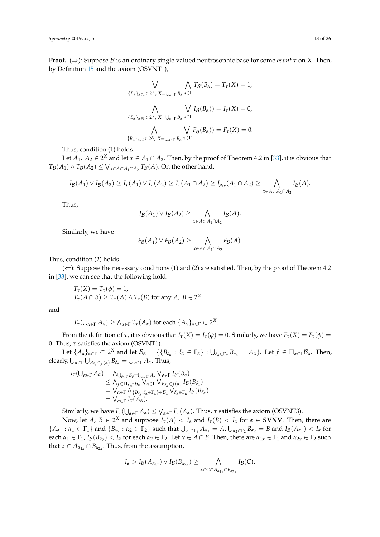**Proof.** ( $\Rightarrow$ ): Suppose B is an ordinary single valued neutrosophic base for some *osvnt*  $\tau$  on X. Then, by Definition [15](#page-14-0) and the axiom (OSVNT1),

$$
\bigvee_{\{B_{\alpha}\}_{\alpha\in\Gamma}\subset 2^{X},\ X=\bigcup_{\alpha\in\Gamma}B_{\alpha}}\bigwedge_{\alpha\in\Gamma}T_{\mathcal{B}}(B_{\alpha})=T_{\tau}(X)=1,
$$
  

$$
\bigwedge_{\{B_{\alpha}\}_{\alpha\in\Gamma}\subset 2^{X},\ X=\bigcup_{\alpha\in\Gamma}B_{\alpha}}\bigvee_{\alpha\in\Gamma}I_{\mathcal{B}}(B_{\alpha}))=I_{\tau}(X)=0,
$$
  

$$
\bigwedge_{\{B_{\alpha}\}_{\alpha\in\Gamma}\subset 2^{X},\ X=\bigcup_{\alpha\in\Gamma}B_{\alpha}}\bigvee_{\alpha\in\Gamma}F_{\mathcal{B}}(B_{\alpha}))=F_{\tau}(X)=0.
$$

Thus, condition (1) holds.

Let  $A_1$ ,  $A_2 \in 2^X$  and let  $x \in A_1 \cap A_2$ . Then, by the proof of Theorem 4.2 in [\[33\]](#page-24-20), it is obvious that  $T_{\mathcal{B}}(A_1) \wedge T_{\mathcal{B}}(A_2) \leq \bigvee_{x \in A \subset A_1 \cap A_2} T_{\mathcal{B}}(A)$ . On the other hand,

$$
I_{\mathcal{B}}(A_1)\vee I_{\mathcal{B}}(A_2)\geq I_{\tau}(A_1)\vee I_{\tau}(A_2)\geq I_{\tau}(A_1\cap A_2)\geq I_{\mathcal{N}_x}(A_1\cap A_2)\geq \bigwedge_{x\in A\subset A_1\cap A_2}I_{\mathcal{B}}(A).
$$

Thus,

$$
I_{\mathcal{B}}(A_1) \vee I_{\mathcal{B}}(A_2) \geq \bigwedge_{x \in A \subset A_1 \cap A_2} I_{\mathcal{B}}(A).
$$

Similarly, we have

$$
F_{\mathcal{B}}(A_1) \vee F_{\mathcal{B}}(A_2) \geq \bigwedge_{x \in A \subset A_1 \cap A_2} F_{\mathcal{B}}(A).
$$

Thus, condition (2) holds.

 $(\Leftarrow)$ : Suppose the necessary conditions (1) and (2) are satisfied. Then, by the proof of Theorem 4.2 in [\[33\]](#page-24-20), we can see that the following hold:

$$
T_{\tau}(X) = T_{\tau}(\phi) = 1,
$$
  
\n
$$
T_{\tau}(A \cap B) \ge T_{\tau}(A) \land T_{\tau}(B) \text{ for any } A, B \in 2^{X}
$$

and

$$
T_{\tau}(\bigcup_{\alpha\in\Gamma}A_{\alpha})\geq\bigwedge_{\alpha\in\Gamma}T_{\tau}(A_{\alpha})\text{ for each }\{A_{\alpha}\}_{\alpha\in\Gamma}\subset 2^{X}.
$$

From the definition of *τ*, it is obvious that *Iτ*(*X*) = *Iτ*(*φ*) = 0. Similarly, we have *Fτ*(*X*) = *Fτ*(*φ*) = 0. Thus,  $\tau$  satisfies the axiom (OSVNT1).

Let  ${A_{\alpha}}_{\alpha\in\Gamma}\subset 2^X$  and let  $\mathcal{B}_{\alpha}=\{B_{\delta_{\alpha}}:\delta_{\alpha}\in\Gamma_{\alpha}\}\,:\cup_{\delta_{\alpha}\in\Gamma_{\alpha}}B_{\delta_{\alpha}}=A_{\alpha}\}.$  Let  $f\in\Pi_{\alpha\in\Gamma}\mathcal{B}_{\alpha}$ . Then,  $\alpha$  clearly,  $\bigcup_{\alpha \in \Gamma} \bigcup_{B_{\delta_{\alpha}} \in f(\alpha)} B_{\delta_{\alpha}} = \bigcup_{\alpha \in \Gamma} A_{\alpha}$ . Thus,

$$
I_{\tau}(\bigcup_{\alpha \in \Gamma} A_{\alpha}) = \bigwedge_{\bigcup_{\delta \in \Gamma} B_{\delta} = \bigcup_{\alpha \in \Gamma} A_{\alpha}} \bigvee_{\delta \in \Gamma} I_{\beta}(B_{\delta})
$$
  
\n
$$
\leq \bigwedge_{f \in \Pi_{\alpha \in \Gamma} B_{\alpha}} \bigvee_{\alpha \in \Gamma} \bigvee_{B_{\delta_{\alpha}} \in f(\alpha)} I_{\beta}(B_{\delta_{\alpha}})
$$
  
\n
$$
= \bigvee_{\alpha \in \Gamma} \bigwedge_{\{B_{\delta_{\alpha}} : \delta_{\alpha} \in \Gamma_{\alpha}\} \in \mathcal{B}_{\alpha}} \bigvee_{\delta_{\alpha} \in \Gamma_{\alpha}} I_{\beta}(B_{\delta_{\alpha}})
$$
  
\n
$$
= \bigvee_{\alpha \in \Gamma} I_{\tau}(A_{\alpha}).
$$

Similarly, we have  $F_\tau(\bigcup_{\alpha \in \Gamma} A_\alpha) \leq \bigvee_{\alpha \in \Gamma} F_\tau(A_\alpha)$ . Thus,  $\tau$  satisfies the axiom (OSVNT3).

Now, let *A*,  $B \in 2^X$  and suppose  $I_\tau(A) < I_\alpha$  and  $I_\tau(B) < I_\alpha$  for  $\alpha \in$  **SVNV**. Then, there are  $\{A_{\alpha_1}:\alpha_1 \in \Gamma_1\}$  and  $\{B_{\alpha_2}:\alpha_2 \in \Gamma_2\}$  such that  $\bigcup_{\alpha_1 \in \Gamma_1} A_{\alpha_1} = A$ ,  $\bigcup_{\alpha_2 \in \Gamma_2} B_{\alpha_2} = B$  and  $I_{\mathcal{B}}(A_{\alpha_1}) < I_{\alpha}$  for  $\alpha_1 \in \Gamma_1$ ,  $I_{\mathcal{B}}(B_{\alpha_2}) < I_{\alpha}$  for each  $\alpha_2 \in \Gamma_2$ . Let  $x \in A \cap B$ . Then, there are  $\alpha_{1x} \in \Gamma_1$  and  $\alpha_{2x} \in \Gamma_2$  such that  $x \in A_{\alpha_{1x}} \cap B_{\alpha_{2x}}$ . Thus, from the assumption,

$$
I_{\alpha} > I_{\mathcal{B}}(A_{\alpha_{1x}}) \vee I_{\mathcal{B}}(B_{\alpha_{2x}}) \geq \bigwedge_{x \in C \subset A_{\alpha_{1x}} \cap B_{\alpha_{2x}}} I_{\mathcal{B}}(C).
$$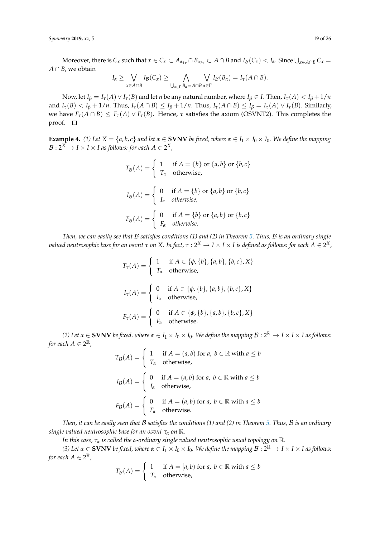*Symmetry* **2019**, *xx*, 5 19 of 26

Moreover, there is  $C_x$  such that  $x \in C_x \subset A_{\alpha_{1x}} \cap B_{\alpha_{2x}} \subset A \cap B$  and  $I_B(C_x) < I_\alpha$ . Since  $\bigcup_{x \in A \cap B} C_x =$ *A* ∩ *B*, we obtain

$$
I_{\alpha} \geq \bigvee_{x \in A \cap B} I_{\mathcal{B}}(C_x) \geq \bigwedge_{\bigcup_{\alpha \in \Gamma} B_{\alpha} = A \cap B} \bigvee_{\alpha \in \Gamma} I_{\mathcal{B}}(B_{\alpha}) = I_{\tau}(A \cap B).
$$

Now, let  $I_\beta = I_\tau(A) \vee I_\tau(B)$  and let *n* be any natural number, where  $I_\beta \in I$ . Then,  $I_\tau(A) < I_\beta + 1/n$ and  $I_{\tau}(B) < I_{\beta} + 1/n$ . Thus,  $I_{\tau}(A \cap B) \leq I_{\beta} + 1/n$ . Thus,  $I_{\tau}(A \cap B) \leq I_{\beta} = I_{\tau}(A) \vee I_{\tau}(B)$ . Similarly, we have  $F_{\tau}(A \cap B) \leq F_{\tau}(A) \vee F_{\tau}(B)$ . Hence,  $\tau$  satisfies the axiom (OSVNT2). This completes the proof.  $\square$ 

**Example 4.** (1) Let  $X = \{a, b, c\}$  and let  $\alpha \in$  **SVNV** be fixed, where  $\alpha \in I_1 \times I_0 \times I_0$ . We define the mapping  $\mathcal{B}: 2^X \to I \times I \times I$  as follows: for each  $A \in 2^X$  ,

$$
T_{\mathcal{B}}(A) = \begin{cases} 1 & \text{if } A = \{b\} \text{ or } \{a, b\} \text{ or } \{b, c\} \\ T_{\alpha} & \text{otherwise,} \end{cases}
$$

$$
I_{\mathcal{B}}(A) = \begin{cases} 0 & \text{if } A = \{b\} \text{ or } \{a, b\} \text{ or } \{b, c\} \\ I_{\alpha} & \text{otherwise,} \end{cases}
$$

$$
F_{\mathcal{B}}(A) = \begin{cases} 0 & \text{if } A = \{b\} \text{ or } \{a, b\} \text{ or } \{b, c\} \\ F_{\alpha} & \text{otherwise.} \end{cases}
$$

*Then, we can easily see that* B *satisfies conditions (1) and (2) in Theorem [5.](#page-16-2) Thus,* B *is an ordinary single*  $\alpha$  *valued neutrosophic base for an osvnt τ on X. In fact, τ : 2* $^X$  $\to$  *I*  $\times$  *I is defined as follows: for each A*  $\in$  *2* $^X$ *,* 

$$
T_{\tau}(A) = \begin{cases} 1 & \text{if } A \in \{\phi, \{b\}, \{a, b\}, \{b, c\}, X\} \\ T_{\alpha} & \text{otherwise,} \end{cases}
$$
  

$$
I_{\tau}(A) = \begin{cases} 0 & \text{if } A \in \{\phi, \{b\}, \{a, b\}, \{b, c\}, X\} \\ I_{\alpha} & \text{otherwise,} \end{cases}
$$
  

$$
F_{\tau}(A) = \begin{cases} 0 & \text{if } A \in \{\phi, \{b\}, \{a, b\}, \{b, c\}, X\} \\ F_{\alpha} & \text{otherwise.} \end{cases}
$$

*(2)* Let  $\alpha \in$  **SVNV** be fixed, where  $\alpha \in I_1 \times I_0 \times I_0$ . We define the mapping  $\mathcal{B}: 2^{\mathbb{R}} \to I \times I \times I$  as follows: for each  $A \in 2^{\mathbb{R}}$  ,

$$
T_{\mathcal{B}}(A) = \begin{cases} 1 & \text{if } A = (a, b) \text{ for } a, b \in \mathbb{R} \text{ with } a \le b \\ T_{\alpha} & \text{otherwise,} \end{cases}
$$
  

$$
I_{\mathcal{B}}(A) = \begin{cases} 0 & \text{if } A = (a, b) \text{ for } a, b \in \mathbb{R} \text{ with } a \le b \\ I_{\alpha} & \text{otherwise,} \end{cases}
$$
  

$$
F_{\mathcal{B}}(A) = \begin{cases} 0 & \text{if } A = (a, b) \text{ for } a, b \in \mathbb{R} \text{ with } a \le b \\ F_{\alpha} & \text{otherwise.} \end{cases}
$$

*Then, it can be easily seen that* B *satisfies the conditions (1) and (2) in Theorem [5.](#page-16-2) Thus,* B *is an ordinary single valued neutrosophic base for an osvnt <sup>τ</sup><sup>α</sup> on* R*.*

*In this case, <sup>τ</sup><sup>α</sup> is called the <sup>α</sup>-ordinary single valued neutrosophic usual topology on* R*.*

*(3)* Let  $\alpha \in$  **SVNV** be fixed, where  $\alpha \in I_1 \times I_0 \times I_0$ . We define the mapping  $\mathcal{B}: 2^{\mathbb{R}} \to I \times I \times I$  as follows: for each  $A \in 2^{\mathbb{R}}$ ,

$$
T_{\mathcal{B}}(A) = \begin{cases} 1 & \text{if } A = [a, b) \text{ for } a, b \in \mathbb{R} \text{ with } a \le b \\ T_{\alpha} & \text{otherwise,} \end{cases}
$$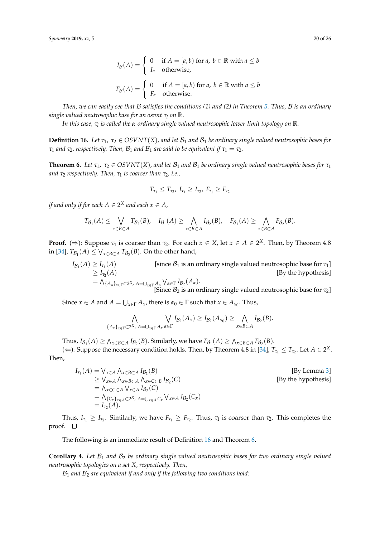$$
I_{\mathcal{B}}(A) = \begin{cases} 0 & \text{if } A = [a, b) \text{ for } a, b \in \mathbb{R} \text{ with } a \le b \\ I_{\alpha} & \text{otherwise,} \end{cases}
$$

$$
F_{\mathcal{B}}(A) = \begin{cases} 0 & \text{if } A = [a, b) \text{ for } a, b \in \mathbb{R} \text{ with } a \le b \\ F_{\alpha} & \text{otherwise.} \end{cases}
$$

*Then, we can easily see that* B *satisfies the conditions (1) and (2) in Theorem [5.](#page-16-2) Thus,* B *is an ordinary single valued neutrosophic base for an osvnt <sup>τ</sup><sup>l</sup> on* R*.*

*In this case, τ<sup>l</sup> is called the α-ordinary single valued neutrosophic lower-limit topology on* R*.*

<span id="page-19-0"></span>**Definition 16.** Let  $\tau_1$ ,  $\tau_2 \in OSVNT(X)$ , and let  $\mathcal{B}_1$  and  $\mathcal{B}_1$  be ordinary single valued neutrosophic bases for *τ*<sub>1</sub> *and τ*<sub>2</sub>*, respectively. Then,*  $B_1$  *<i>and*  $B_1$  *are said to be equivalent if*  $\tau_1 = \tau_2$ *.* 

<span id="page-19-1"></span>**Theorem 6.** *Let*  $\tau_1$ ,  $\tau_2 \in OSVNT(X)$ , and let  $\mathcal{B}_1$  and  $\mathcal{B}_1$  be ordinary single valued neutrosophic bases for  $\tau_1$ *and τ*<sup>2</sup> *respectively. Then, τ*<sup>1</sup> *is coarser than τ*2*, i.e.,*

$$
T_{\tau_1} \leq T_{\tau_2}, I_{\tau_1} \geq I_{\tau_2}, F_{\tau_1} \geq F_{\tau_2}
$$

if and only if for each  $A \in 2^X$  and each  $x \in A$ ,

$$
T_{\mathcal{B}_1}(A) \leq \bigvee_{x \in B \subset A} T_{\mathcal{B}_2}(B), \quad I_{\mathcal{B}_1}(A) \geq \bigwedge_{x \in B \subset A} I_{\mathcal{B}_2}(B), \quad F_{\mathcal{B}_1}(A) \geq \bigwedge_{x \in B \subset A} F_{\mathcal{B}_2}(B).
$$

**Proof.** ( $\Rightarrow$ ): Suppose  $\tau_1$  is coarser than  $\tau_2$ . For each  $x \in X$ , let  $x \in A \in 2^X$ . Then, by Theorem 4.8 in [\[34\]](#page-24-21),  $T_{\mathcal{B}_1}(A) \leq \bigvee_{x \in B \subset A} T_{\mathcal{B}_2}(B)$ . On the other hand,

$$
I_{\mathcal{B}_1}(A) \geq I_{\tau_1}(A) \qquad \qquad [\text{since } \mathcal{B}_1 \text{ is an ordinary single valued neutrosophic base for } \tau_1] \geq I_{\tau_2}(A) \qquad \qquad [\text{By the hypothesis}]
$$
\n
$$
= \bigwedge_{\{A_{\alpha}\}_{\alpha \in \Gamma} \subset 2^X, \ A = \bigcup_{\alpha \in \Gamma} A_{\alpha}} \bigvee_{\alpha \in \Gamma} I_{\mathcal{B}_2}(A_{\alpha}).
$$
\n[Since  $\mathcal{B}_2$  is an ordinary single valued neutrosophic base for  $\tau_2$ ]

Since  $x \in A$  and  $A = \bigcup_{\alpha \in \Gamma} A_{\alpha}$ , there is  $\alpha_0 \in \Gamma$  such that  $x \in A_{\alpha_0}$ . Thus,

$$
\bigwedge_{\{A_{\alpha}\}_{\alpha\in\Gamma}\subset 2^X,\ A=\bigcup_{\alpha\in\Gamma}A_{\alpha}}\bigvee_{\alpha\in\Gamma}I_{\mathcal{B}_2}(A_{\alpha})\geq I_{\mathcal{B}_2}(A_{\alpha_0})\geq \bigwedge_{x\in B\subset A}I_{\mathcal{B}_2}(B).
$$

Thus,  $I_{\mathcal{B}_1}(A) \ge \bigwedge_{x \in B \subset A} I_{\mathcal{B}_2}(B)$ . Similarly, we have  $F_{\mathcal{B}_1}(A) \ge \bigwedge_{x \in B \subset A} F_{\mathcal{B}_2}(B)$ .

( $\Leftarrow$ ): Suppose the necessary condition holds. Then, by Theorem 4.8 in [\[34\]](#page-24-21),  $T_{\tau_1} \le T_{\tau_2}$ . Let  $A \in 2^X$ . Then,

$$
I_{\tau_1}(A) = \bigvee_{x \in A} \bigwedge_{x \in B \subset A} I_{\mathcal{B}_1}(B)
$$
  
\n
$$
\geq \bigvee_{x \in A} \bigwedge_{x \in B \subset A} I_{\mathcal{B}_1}(B)
$$
  
\n
$$
= \bigwedge_{x \in C \subset A} \bigvee_{x \in A} I_{\mathcal{B}_2}(C)
$$
  
\n
$$
= \bigwedge_{\{C_x\}_{x \in A} \subset 2^X, A = \bigcup_{x \in A} C_x} \bigvee_{x \in A} I_{\mathcal{B}_2}(C_x)
$$
  
\n
$$
= I_{\tau_2}(A).
$$
  
\n[By the hypothesis]  
\n[By the hypothesis]

Thus,  $I_{\tau_1} \geq I_{\tau_2}$ . Similarly, we have  $F_{\tau_1} \geq F_{\tau_2}$ . Thus,  $\tau_1$  is coarser than  $\tau_2$ . This completes the proof.  $\square$ 

The following is an immediate result of Definition [16](#page-19-0) and Theorem [6.](#page-19-1)

<span id="page-19-2"></span>**Corollary 4.** Let  $\mathcal{B}_1$  and  $\mathcal{B}_2$  be ordinary single valued neutrosophic bases for two ordinary single valued *neutrosophic topologies on a set X, respectively. Then,*

B<sup>1</sup> *and* B<sup>2</sup> *are equivalent if and only if the following two conditions hold:*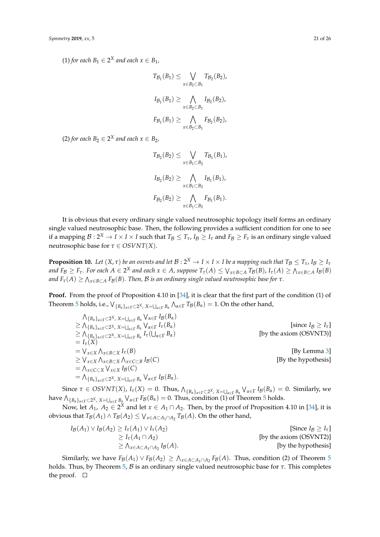$(1)$  *for each*  $B_1 \in 2^X$  *and each*  $x \in B_1$ *,* 

$$
T_{\mathcal{B}_1}(B_1) \leq \bigvee_{x \in B_2 \subset B_1} T_{\mathcal{B}_2}(B_2),
$$
  
\n
$$
I_{\mathcal{B}_1}(B_1) \geq \bigwedge_{x \in B_2 \subset B_1} I_{\mathcal{B}_2}(B_2),
$$
  
\n
$$
F_{\mathcal{B}_1}(B_1) \geq \bigwedge_{x \in B_2 \subset B_1} F_{\mathcal{B}_2}(B_2),
$$

 $(2)$  *for each*  $B_2 \in 2^X$  *and each*  $x \in B_2$ *,* 

$$
T_{\mathcal{B}_2}(B_2) \leq \bigvee_{x \in B_1 \subset B_2} T_{\mathcal{B}_1}(B_1),
$$
  
\n
$$
I_{\mathcal{B}_2}(B_2) \geq \bigwedge_{x \in B_1 \subset B_2} I_{\mathcal{B}_1}(B_1),
$$
  
\n
$$
F_{\mathcal{B}_2}(B_2) \geq \bigwedge_{x \in B_1 \subset B_2} F_{\mathcal{B}_1}(B_1).
$$

It is obvious that every ordinary single valued neutrosophic topology itself forms an ordinary single valued neutrosophic base. Then, the following provides a sufficient condition for one to see if a mapping  $\mathcal{B}: 2^X \to I \times I \times I$  such that  $T_\mathcal{B} \leq T_\tau$ ,  $I_\mathcal{B} \geq I_\tau$  and  $F_\mathcal{B} \geq F_\tau$  is an ordinary single valued neutrosophic base for  $\tau \in OSVNT(X)$ .

**Proposition 10.** Let  $(X, \tau)$  be an osvnts and let  $\mathcal{B}: 2^X \to I \times I \times I$  be a mapping such that  $T_\mathcal{B} \leq T_\tau$ ,  $I_\mathcal{B} \geq I_\tau$ and  $F_B \ge F_\tau$ . For each  $A \in 2^X$  and each  $x \in A$ , suppose  $T_\tau(A) \le V_{x \in B \subset A}$   $T_B(B)$ ,  $I_\tau(A) \ge \bigwedge_{x \in B \subset A} I_B(B)$  $\alpha$  *and F*<sub>τ</sub>(A)  $\geq$   $\Lambda_{x\in B\subset A}$  *F<sub>B</sub>*(*B*)*. Then, B is an ordinary single valued neutrosophic base for*  $\tau$ *.* 

**Proof.** From the proof of Proposition 4.10 in [\[34\]](#page-24-21), it is clear that the first part of the condition (1) of Theorem [5](#page-16-2) holds, i.e.,  $\bigvee_{\{B_\alpha\}_{\alpha\in\Gamma}\subset 2^X}$ ,  $\chi_{=\bigcup_{\alpha\in\Gamma}B_\alpha}\bigwedge_{\alpha\in\Gamma}T_\mathcal{B}(B_\alpha)=1$ . On the other hand,

 $\bigwedge_{\{B_{\alpha}\}_{\alpha\in\Gamma}\subset 2^{X}}$ ,  $X=\bigcup_{\alpha\in\Gamma}B_{\alpha}}\bigvee_{\alpha\in\Gamma}I_{\mathcal{B}}(B_{\alpha})$  $\geq \bigwedge_{\{B_{\alpha}\}_{\alpha \in \Gamma} \subset 2^{X}}$ , *X*=∪<sub>α∈Γ</sub> *B*<sub>α</sub>  $\bigvee_{\alpha \in \Gamma}$  $[\text{since } I_B \geq I_\tau]$  $\geq \bigwedge_{\{B_{\alpha}\}_{\alpha \in \Gamma} \subset 2^{X}}$ ,  $X = \bigcup_{\alpha \in \Gamma} B_{\alpha}$   $I_{\tau}(\bigcup$ *[by the axiom (OSVNT3)]*  $= I_{\tau}(X)$  $= \bigvee_{x \in X} \bigwedge$ *<i>IBy Lemma 3*] ≥ W *x*∈*X* V *x*∈*B*⊂*X* V *x*∈*C*⊂*B* [By the hypothesis]  $= \bigwedge_{x \in C \subset X} \bigvee_{x \in X} I_{\mathcal{B}}(C)$  $=\bigwedge_{\{B_{\alpha}\}_{\alpha\in\Gamma}\subset 2^{X}}$ ,  $X=\bigcup_{\alpha\in\Gamma}B_{\alpha}}\bigvee_{\alpha\in\Gamma}I_{\mathcal{B}}(B_{\alpha}).$ 

Since  $\tau \in OSVNT(X)$ ,  $I_{\tau}(X) = 0$ . Thus,  $\Lambda_{\{B_{\alpha}\}_{\alpha \in \Gamma} \subset 2^{X}}$ ,  $X = \bigcup_{\alpha \in \Gamma} B_{\alpha}} \bigvee_{\alpha \in \Gamma} I_{\beta}(B_{\alpha}) = 0$ . Similarly, we  $\bigcap_{\{B_\alpha\}_{\alpha\in\Gamma}\subset 2^X}$ ,  $\chi=\bigcup_{\alpha\in\Gamma}B_\alpha\bigvee_{\alpha\in\Gamma}F_\mathcal{B}(B_\alpha)=0.$  Thus, condition (1) of Theorem [5](#page-16-2) holds.

Now, let  $A_1$ ,  $A_2 \in 2^X$  and let  $x \in A_1 \cap A_2$ . Then, by the proof of Proposition 4.10 in [\[34\]](#page-24-21), it is obvious that  $T_{\mathcal{B}}(A_1) \wedge T_{\mathcal{B}}(A_2) \leq \bigvee_{x \in A \subset A_1 \cap A_2} T_{\mathcal{B}}(A)$ . On the other hand,

$$
I_{\mathcal{B}}(A_1) \vee I_{\mathcal{B}}(A_2) \ge I_{\tau}(A_1) \vee I_{\tau}(A_2)
$$
 [Since  $I_{\mathcal{B}} \ge I_{\tau}$ ]  
\n
$$
\ge I_{\tau}(A_1 \cap A_2)
$$
 [by the axiom (OSVNT2)]  
\n
$$
\ge \Lambda_{x \in A \subset A_1 \cap A_2} I_{\mathcal{B}}(A).
$$
 [by the hypothesis]

Similarly, we have  $F_{\mathcal{B}}(A_1) \vee F_{\mathcal{B}}(A_2) \ge \Lambda_{x \in A \subset A_1 \cap A_2} F_{\mathcal{B}}(A)$ . Thus, condition (2) of Theorem [5](#page-16-2) holds. Thus, by Theorem [5,](#page-16-2) B is an ordinary single valued neutrosophic base for *τ*. This completes the proof.  $\Box$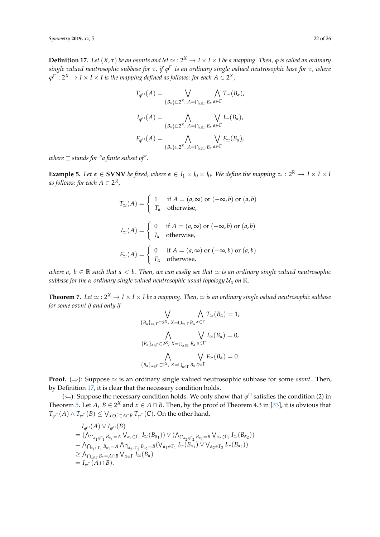<span id="page-21-0"></span> $\bf{Definition 17.}$  Let  $(X, \tau)$  be an osvnts and let  $\simeq$  :  $2^X \to I \times I \times I$  be a mapping. Then,  $\phi$  is called an ordinary *single valued neutrosophic subbase for τ, if ϕ* <sup>u</sup> *is an ordinary single valued neutrosophic base for τ, where*  $\phi^{\sqcap}:\mathsf{2}^X\to\mathsf{I}\times\mathsf{I}\times\mathsf{I}$  is the mapping defined as follows: for each  $A\in\mathsf{2}^X$  ,

$$
T_{\varphi} \cap (A) = \bigvee_{\{B_{\alpha}\}\subset 2^{X}, A=\bigcap_{\alpha\in\Gamma}B_{\alpha}} \bigwedge_{\alpha\in\Gamma} T_{\simeq}(B_{\alpha}),
$$

$$
I_{\varphi} \cap (A) = \bigwedge_{\{B_{\alpha}\}\subset 2^{X}, A=\bigcap_{\alpha\in\Gamma}B_{\alpha}} \bigvee_{\alpha\in\Gamma} I_{\simeq}(B_{\alpha}),
$$

$$
F_{\varphi} \cap (A) = \bigwedge_{\{B_{\alpha}\}\subset 2^{X}, A=\bigcap_{\alpha\in\Gamma}B_{\alpha}} \bigvee_{\alpha\in\Gamma} F_{\simeq}(B_{\alpha}),
$$

*where*  $\sqsubset$  *stands for "a finite subset of".* 

**Example 5.** Let  $\alpha \in$  **SVNV** be fixed, where  $\alpha \in I_1 \times I_0 \times I_0$ . We define the mapping  $\simeq : 2^{\mathbb{R}} \to I \times I \times I$ *as follows: for each*  $A \in 2^{\mathbb{R}}$ ,

$$
T_{\simeq}(A) = \begin{cases} 1 & \text{if } A = (a, \infty) \text{ or } (-\infty, b) \text{ or } (a, b) \\ T_{\alpha} & \text{otherwise,} \end{cases}
$$
  

$$
I_{\simeq}(A) = \begin{cases} 0 & \text{if } A = (a, \infty) \text{ or } (-\infty, b) \text{ or } (a, b) \\ I_{\alpha} & \text{otherwise,} \end{cases}
$$
  

$$
F_{\simeq}(A) = \begin{cases} 0 & \text{if } A = (a, \infty) \text{ or } (-\infty, b) \text{ or } (a, b) \\ F_{\alpha} & \text{otherwise,} \end{cases}
$$

*where*  $a, b \in \mathbb{R}$  such that  $a < b$ . Then, we can easily see that  $\simeq$  is an ordinary single valued neutrosophic *subbase for the <sup>α</sup>-ordinary single valued neutrosophic usual topology* U*<sup>α</sup> on* R*.*

<span id="page-21-1"></span>**Theorem 7.** Let  $\simeq$  :  $2^X \to I \times I \times I$  be a mapping. Then,  $\simeq$  is an ordinary single valued neutrosophic subbase *for some osvnt if and only if*  $\ddot{\phantom{0}}$ 

$$
\bigvee_{\{B_{\alpha}\}_{\alpha\in\Gamma}\subset 2^{X},\ X=\bigcup_{\alpha\in\Gamma}B_{\alpha}}\bigwedge_{\alpha\in\Gamma}T_{\simeq}(B_{\alpha})=1,
$$
  

$$
\bigwedge_{\{B_{\alpha}\}_{\alpha\in\Gamma}\subset 2^{X},\ X=\bigcup_{\alpha\in\Gamma}B_{\alpha}}\bigvee_{\alpha\in\Gamma}I_{\simeq}(B_{\alpha})=0,
$$
  

$$
\bigwedge_{\{B_{\alpha}\}_{\alpha\in\Gamma}\subset 2^{X},\ X=\bigcup_{\alpha\in\Gamma}B_{\alpha}}\bigvee_{\alpha\in\Gamma}F_{\simeq}(B_{\alpha})=0.
$$

**Proof.** ( $\Rightarrow$ ): Suppose  $\simeq$  is an ordinary single valued neutrosophic subbase for some *osvnt*. Then, by Definition [17,](#page-21-0) it is clear that the necessary condition holds.

( $\Leftarrow$ ): Suppose the necessary condition holds. We only show that  $\varphi^{\sqcap}$  satisfies the condition (2) in Theorem [5.](#page-16-2) Let *A, B*  $\in$  2<sup>X</sup> and  $x \in A \cap B$ . Then, by the proof of Theorem 4.3 in [\[33\]](#page-24-20), it is obvious that  $T_{\varphi^{\sqcap}}(A) \land T_{\varphi^{\sqcap}}(B) \leq \bigvee_{x \in C \subset A \cap B} T_{\varphi^{\sqcap}}(C).$  On the other hand,

$$
I_{\varphi} \cap (A) \vee I_{\varphi} \cap (B)
$$
  
=  $(\bigwedge_{\bigcap_{\alpha_1 \in \Gamma_1} B_{\alpha_1} = A} V_{\alpha_1 \in \Gamma_1} I_{\simeq} (B_{\alpha_1})) \vee (\bigwedge_{\bigcap_{\alpha_2 \in \Gamma_2} B_{\alpha_2} = B} V_{\alpha_2 \in \Gamma_2} I_{\simeq} (B_{\alpha_2}))$   
=  $\bigwedge_{\bigcap_{\alpha_1 \in \Gamma_1} B_{\alpha_1} = A} \bigwedge_{\bigcap_{\alpha_2 \in \Gamma_2} B_{\alpha_2} = B} (V_{\alpha_1 \in \Gamma_1} I_{\simeq} (B_{\alpha_1}) \vee V_{\alpha_2 \in \Gamma_2} I_{\simeq} (B_{\alpha_2}))$   
 $\geq \bigwedge_{\bigcap_{\alpha \in \Gamma} B_{\alpha} = A \cap B} V_{\alpha \in \Gamma} I_{\simeq} (B_{\alpha})$   
=  $I_{\varphi} \cap (A \cap B).$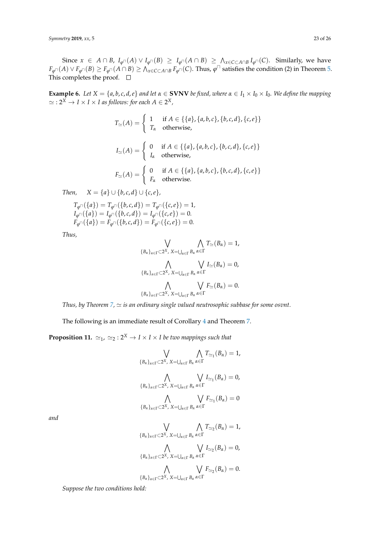Since  $x \in A \cap B$ ,  $I_{\varphi \cap}(A) \vee I_{\varphi \cap}(B) \geq I_{\varphi \cap}(A \cap B) \geq \Lambda_{x \in C \subset A \cap B} I_{\varphi \cap}(C)$ . Similarly, we have  $F_{\varphi^\sqcap}(A)\vee F_{\varphi^\sqcap}(B)\ge F_{\varphi^\sqcap}(A\cap B)\ge\bigwedge_{x\in C\subset A\cap B}F_{\varphi^\sqcap}(C).$  Thus,  $\varphi^\sqcap$  satisfies the condition (2) in Theorem [5.](#page-16-2) This completes the proof.  $\square$ 

**Example 6.** Let  $X = \{a, b, c, d, e\}$  and let  $\alpha \in$  **SVNV** be fixed, where  $\alpha \in I_1 \times I_0 \times I_0$ . We define the mapping  $\simeq$  : 2<sup>X</sup>  $\rightarrow$  *I*  $\times$  *I*  $\times$  *I as follows: for each A*  $\in$  2<sup>X</sup>,

$$
T_{\simeq}(A) = \begin{cases} 1 & \text{if } A \in \{\{a\}, \{a, b, c\}, \{b, c, d\}, \{c, e\}\} \\ T_{\alpha} & \text{otherwise,} \end{cases}
$$

$$
I_{\simeq}(A) = \begin{cases} 0 & \text{if } A \in \{\{a\}, \{a, b, c\}, \{b, c, d\}, \{c, e\}\} \\ I_{\alpha} & \text{otherwise,} \end{cases}
$$

$$
F_{\simeq}(A) = \begin{cases} 0 & \text{if } A \in \{\{a\}, \{a, b, c\}, \{b, c, d\}, \{c, e\}\} \\ F_{\alpha} & \text{otherwise.} \end{cases}
$$

*Then,*  $X = \{a\} \cup \{b, c, d\} \cup \{c, e\},$ 

$$
T_{\varphi \cap}(\{a\}) = T_{\varphi \cap}(\{b, c, d\}) = T_{\varphi \cap}(\{c, e\}) = 1,
$$
  
\n
$$
I_{\varphi \cap}(\{a\}) = I_{\varphi \cap}(\{b, c, d\}) = I_{\varphi \cap}(\{c, e\}) = 0.
$$
  
\n
$$
F_{\varphi \cap}(\{a\}) = F_{\varphi \cap}(\{b, c, d\}) = F_{\varphi \cap}(\{c, e\}) = 0.
$$

*Thus,*

$$
\bigvee_{\{B_{\alpha}\}_{\alpha\in\Gamma}\subset 2^{X},\ X=\bigcup_{\alpha\in\Gamma}B_{\alpha}}\bigwedge_{\alpha\in\Gamma}T_{\simeq}(B_{\alpha})=1,
$$
  

$$
\bigwedge_{\{B_{\alpha}\}_{\alpha\in\Gamma}\subset 2^{X},\ X=\bigcup_{\alpha\in\Gamma}B_{\alpha}}\bigvee_{\alpha\in\Gamma}I_{\simeq}(B_{\alpha})=0,
$$
  

$$
\bigwedge_{\{B_{\alpha}\}_{\alpha\in\Gamma}\subset 2^{X},\ X=\bigcup_{\alpha\in\Gamma}B_{\alpha}}\bigvee_{\alpha\in\Gamma}F_{\simeq}(B_{\alpha})=0.
$$

*Thus, by Theorem [7,](#page-21-1)*  $\simeq$  *is an ordinary single valued neutrosophic subbase for some osvnt.* 

The following is an immediate result of Corollary [4](#page-19-2) and Theorem [7.](#page-21-1)

**Proposition 11.**  $\simeq_1$ ,  $\simeq_2 : 2^X \rightarrow I \times I \times I$  *be two mappings such that* 

$$
\bigvee_{\{B_{\alpha}\}_{\alpha\in\Gamma}\subset 2^{X},\ X=\bigcup_{\alpha\in\Gamma}B_{\alpha}}\bigwedge_{\alpha\in\Gamma}T_{\simeq_{1}}(B_{\alpha})=1,
$$
  

$$
\bigwedge_{\{B_{\alpha}\}_{\alpha\in\Gamma}\subset 2^{X},\ X=\bigcup_{\alpha\in\Gamma}B_{\alpha}}\bigvee_{\alpha\in\Gamma}L_{\simeq_{1}}(B_{\alpha})=0,
$$
  

$$
\bigwedge_{\{B_{\alpha}\}_{\alpha\in\Gamma}\subset 2^{X},\ X=\bigcup_{\alpha\in\Gamma}B_{\alpha}}\bigvee_{\alpha\in\Gamma}F_{\simeq_{1}}(B_{\alpha})=0
$$

*and*

$$
\bigvee_{\{B_{\alpha}\}_{\alpha\in\Gamma}\subset 2^{X},\ X=\bigcup_{\alpha\in\Gamma}B_{\alpha}}\bigwedge_{\alpha\in\Gamma}T_{\simeq_2}(B_{\alpha})=1,
$$
  

$$
\bigwedge_{\{B_{\alpha}\}_{\alpha\in\Gamma}\subset 2^{X},\ X=\bigcup_{\alpha\in\Gamma}B_{\alpha}}\bigvee_{\alpha\in\Gamma}L_{\simeq_2}(B_{\alpha})=0,
$$
  

$$
\bigwedge_{\{B_{\alpha}\}_{\alpha\in\Gamma}\subset 2^{X},\ X=\bigcup_{\alpha\in\Gamma}B_{\alpha}}\bigvee_{\alpha\in\Gamma}F_{\simeq_2}(B_{\alpha})=0.
$$

*Suppose the two conditions hold:*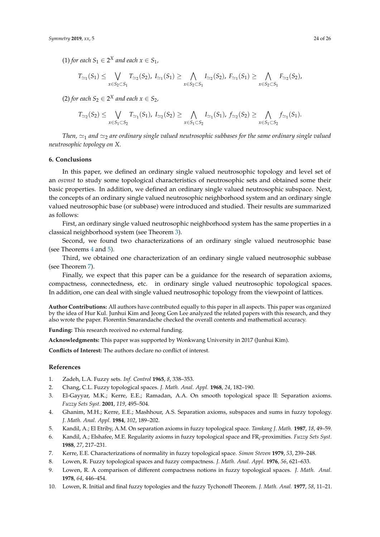$(1)$  *for each*  $S_1 \in 2^X$  *and each*  $x \in S_1$ *,* 

$$
T_{\simeq_1}(S_1) \leq \bigvee_{x \in S_2 \subset S_1} T_{\simeq_2}(S_2), \ I_{\simeq_1}(S_1) \geq \bigwedge_{x \in S_2 \subset S_1} I_{\simeq_2}(S_2), \ F_{\simeq_1}(S_1) \geq \bigwedge_{x \in S_2 \subset S_1} F_{\simeq_2}(S_2),
$$

(2) for each  $S_2 \in 2^X$  and each  $x \in S_2$ ,

$$
T_{\simeq_2}(S_2)\leq \bigvee_{x\in S_1\subset S_2} T_{\simeq_1}(S_1),\ I_{\simeq_2}(S_2)\geq \bigwedge_{x\in S_1\subset S_2} I_{\simeq_1}(S_1),\ f_{\simeq_2}(S_2)\geq \bigwedge_{x\in S_1\subset S_2} f_{\simeq_1}(S_1).
$$

*Then,*  $\approx$ <sub>1</sub> and  $\approx$ <sub>2</sub> are ordinary single valued neutrosophic subbases for the same ordinary single valued *neutrosophic topology on X.*

#### **6. Conclusions**

In this paper, we defined an ordinary single valued neutrosophic topology and level set of an *osvnst* to study some topological characteristics of neutrosophic sets and obtained some their basic properties. In addition, we defined an ordinary single valued neutrosophic subspace. Next, the concepts of an ordinary single valued neutrosophic neighborhood system and an ordinary single valued neutrosophic base (or subbase) were introduced and studied. Their results are summarized as follows:

First, an ordinary single valued neutrosophic neighborhood system has the same properties in a classical neighborhood system (see Theorem [3\)](#page-12-0).

Second, we found two characterizations of an ordinary single valued neutrosophic base (see Theorems [4](#page-15-0) and [5\)](#page-16-2).

Third, we obtained one characterization of an ordinary single valued neutrosophic subbase (see Theorem [7\)](#page-21-1).

Finally, we expect that this paper can be a guidance for the research of separation axioms, compactness, connectedness, etc. in ordinary single valued neutrosophic topological spaces. In addition, one can deal with single valued neutrosophic topology from the viewpoint of lattices.

**Author Contributions:** All authors have contributed equally to this paper in all aspects. This paper was organized by the idea of Hur Kul. Junhui Kim and Jeong Gon Lee analyzed the related papers with this research, and they also wrote the paper. Florentin Smarandache checked the overall contents and mathematical accuracy.

**Funding:** This research received no external funding.

**Acknowledgments:** This paper was supported by Wonkwang University in 2017 (Junhui Kim).

**Conflicts of Interest:** The authors declare no conflict of interest.

#### **References**

- <span id="page-23-0"></span>1. Zadeh, L.A. Fuzzy sets. *Inf. Control* **1965**, *8*, 338–353.
- <span id="page-23-1"></span>2. Chang, C.L. Fuzzy topological spaces. *J. Math. Anal. Appl.* **1968**, *24*, 182–190.
- <span id="page-23-2"></span>3. El-Gayyar, M.K.; Kerre, E.E.; Ramadan, A.A. On smooth topological space II: Separation axioms. *Fuzzy Sets Syst.* **2001**, *119*, 495–504.
- 4. Ghanim, M.H.; Kerre, E.E.; Mashhour, A.S. Separation axioms, subspaces and sums in fuzzy topology. *J. Math. Anal. Appl.* **1984**, *102*, 189–202.
- 5. Kandil, A.; El Etriby, A.M. On separation axioms in fuzzy topological space. *Tamkang J. Math.* **1987**, *18*, 49–59.
- 6. Kandil, A.; Elshafee, M.E. Regularity axioms in fuzzy topological space and FR*<sup>i</sup>* -proximities. *Fuzzy Sets Syst.* **1988**, *27*, 217–231.
- 7. Kerre, E.E. Characterizations of normality in fuzzy topological space. *Simon Steven* **1979**, *53*, 239–248.
- <span id="page-23-3"></span>8. Lowen, R. Fuzzy topological spaces and fuzzy compactness. *J. Math. Anal. Appl.* **1976**, *56*, 621–633.
- <span id="page-23-4"></span>9. Lowen, R. A comparison of different compactness notions in fuzzy topological spaces. *J. Math. Anal.* **1978**, *64*, 446–454.
- 10. Lowen, R. Initial and final fuzzy topologies and the fuzzy Tychonoff Theorem. *J. Math. Anal.* **1977**, *58*, 11–21.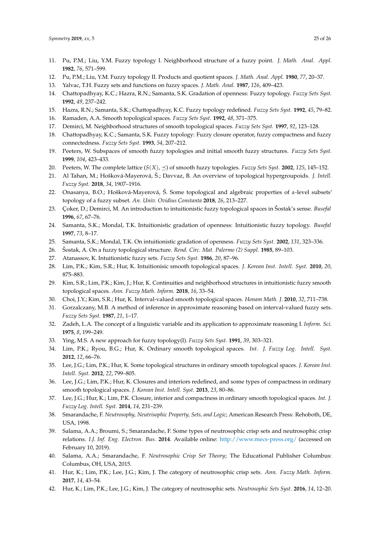- 11. Pu, P.M.; Liu, Y.M. Fuzzy topology I. Neighborhood structure of a fuzzy point. *J. Math. Anal. Appl.* **1982**, *76*, 571–599.
- 12. Pu, P.M.; Liu, Y.M. Fuzzy topology II. Products and quotient spaces. *J. Math. Anal. Appl.* **1980**, *77*, 20–37.
- <span id="page-24-0"></span>13. Yalvac, T.H. Fuzzy sets and functions on fuzzy spaces. *J. Math. Anal.* **1987**, *126*, 409–423.
- <span id="page-24-1"></span>14. Chattopadhyay, K.C.; Hazra, R.N.; Samanta, S.K. Gradation of openness: Fuzzy topology. *Fuzzy Sets Syst.* **1992**, *49*, 237–242.
- <span id="page-24-2"></span>15. Hazra, R.N.; Samanta, S.K.; Chattopadhyay, K.C. Fuzzy topology redefined. *Fuzzy Sets Syst.* **1992**, *45*, 79–82.
- <span id="page-24-3"></span>16. Ramaden, A.A. Smooth topological spaces. *Fuzzy Sets Syst.* **1992**, *48*, 371–375.
- <span id="page-24-4"></span>17. Demirci, M. Neighborhood structures of smooth topological spaces. *Fuzzy Sets Syst.* **1997**, *92*, 123–128.
- <span id="page-24-5"></span>18. Chattopadhyay, K.C.; Samanta, S.K. Fuzzy topology: Fuzzy closure operator, fuzzy compactness and fuzzy connectedness. *Fuzzy Sets Syst.* **1993**, *54*, 207–212.
- <span id="page-24-6"></span>19. Peeters, W. Subspaces of smooth fuzzy topologies and initial smooth fuzzy structures. *Fuzzy Sets Syst.* **1999**, *104*, 423–433.
- <span id="page-24-7"></span>20. Peeters, W. The complete lattice  $(S(X), \prec)$  of smooth fuzzy topologies. *Fuzzy Sets Syst.* **2002**, 125, 145–152.
- <span id="page-24-8"></span>21. Al Tahan, M.; Hošková-Mayerová, Š.; Davvaz, B. An overview of topological hypergroupoids. *J. Intell. Fuzzy Syst.* **2018**, *34*, 1907–1916.
- <span id="page-24-9"></span>22. Onasanya, B.O.; Hošková-Mayerová, Š. Some topological and algebraic properties of *α*-level subsets' topology of a fuzzy subset. *An. Univ. Ovidius Constanta* **2018**, *26*, 213–227.
- <span id="page-24-10"></span>23. Çoker, D.; Demirci, M. An introduction to intuitionistic fuzzy topological spaces in Sostak's sense. *Busefal* **1996**, *67*, 67–76.
- <span id="page-24-11"></span>24. Samanta, S.K.; Mondal, T.K. Intuitionistic gradation of openness: Intuitionistic fuzzy topology. *Busefal* **1997**, *73*, 8–17.
- <span id="page-24-12"></span>25. Samanta, S.K.; Mondal, T.K. On intuitionistic gradation of openness. *Fuzzy Sets Syst.* **2002**, *131*, 323–336.
- <span id="page-24-13"></span>26. Šostak, A. On a fuzzy topological structure. Rend. Circ. Mat. Palermo (2) Suppl. 1985, 89-103.
- <span id="page-24-14"></span>27. Atanassov, K. Intuitionistic fuzzy sets. *Fuzzy Sets Syst.* **1986**, *20*, 87–96.
- <span id="page-24-15"></span>28. Lim, P.K.; Kim, S.R.; Hur, K. Intuitionisic smooth topological spaces. *J. Korean Inst. Intell. Syst.* **2010**, *20*, 875–883.
- <span id="page-24-16"></span>29. Kim, S.R.; Lim, P.K.; Kim, J.; Hur, K. Continuities and neighborhood structures in intuitionistic fuzzy smooth topological spaces. *Ann. Fuzzy Math. Inform.* **2018**, *16*, 33–54.
- <span id="page-24-17"></span>30. Choi, J.Y.; Kim, S.R.; Hur, K. Interval-valued smooth topological spaces. *Honam Math. J.* **2010**, *32*, 711–738.
- <span id="page-24-18"></span>31. Gorzalczany, M.B. A method of inference in approximate reasoning based on interval-valued fuzzy sets. *Fuzzy Sets Syst.* **1987**, *21*, 1–17.
- <span id="page-24-19"></span>32. Zadeh, L.A. The concept of a linguistic variable and its application to approximate reasoning I. *Inform. Sci.* **1975**, *8*, 199–249.
- <span id="page-24-20"></span>33. Ying, M.S. A new approach for fuzzy topology(I). *Fuzzy Sets Syst.* **1991**, *39*, 303–321.
- <span id="page-24-21"></span>34. Lim, P.K.; Ryou, B.G.; Hur, K. Ordinary smooth topological spaces. *Int. J. Fuzzy Log. Intell. Syst.* **2012**, *12*, 66–76.
- <span id="page-24-22"></span>35. Lee, J.G.; Lim, P.K.; Hur, K. Some topological structures in ordinary smooth topological spaces. *J. Korean Inst. Intell. Syst.* **2012**, *22*, 799–805.
- 36. Lee, J.G.; Lim, P.K.; Hur, K. Closures and interiors redefined, and some types of compactness in ordinary smooth topological spaces. *J. Korean Inst. Intell. Syst.* **2013**, *23*, 80–86.
- <span id="page-24-23"></span>37. Lee, J.G.; Hur, K.; Lim, P.K. Closure, interior and compactness in ordinary smooth topological spaces. *Int. J. Fuzzy Log. Intell. Syst.* **2014**, *14*, 231–239.
- <span id="page-24-24"></span>38. Smarandache, F. *Neutrosophy, Neutrisophic Property, Sets, and Logic*; American Research Press: Rehoboth, DE, USA, 1998.
- <span id="page-24-25"></span>39. Salama, A.A.; Broumi, S.; Smarandache, F. Some types of neutrosophic crisp sets and neutrosophic crisp relations. *I.J. Inf. Eng. Electron. Bus.* **2014**. Available online: <http://www.mecs-press.org/> (accessed on February 10, 2019).
- <span id="page-24-26"></span>40. Salama, A.A.; Smarandache, F. *Neutrosophic Crisp Set Theory*; The Educational Publisher Columbus: Columbus, OH, USA, 2015.
- <span id="page-24-27"></span>41. Hur, K.; Lim, P.K.; Lee, J.G.; Kim, J. The category of neutrosophic crisp sets. *Ann. Fuzzy Math. Inform.* **2017**, *14*, 43–54.
- <span id="page-24-28"></span>42. Hur, K.; Lim, P.K.; Lee, J.G.; Kim, J. The category of neutrosophic sets. *Neutrosophic Sets Syst.* **2016**, *14*, 12–20.